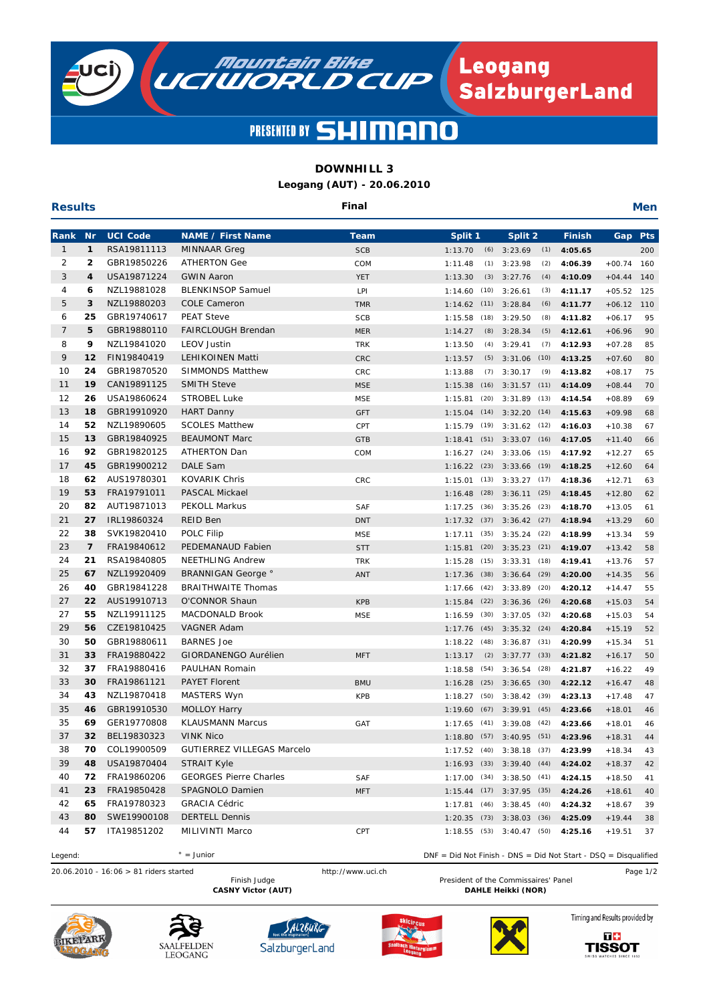

#### **PRESENTED BY SL**  $\blacksquare$

# **DOWNHILL 3**

**Leogang (AUT) - 20.06.2010**

| <b>Results</b> |                |                            | Final                                   |                          |                            |                                            |                    |                      |            |
|----------------|----------------|----------------------------|-----------------------------------------|--------------------------|----------------------------|--------------------------------------------|--------------------|----------------------|------------|
| Rank           | <b>Nr</b>      | <b>UCI Code</b>            | <b>NAME / First Name</b>                | Team                     | Split 1                    | Split 2                                    | <b>Finish</b>      | Gap                  | <b>Pts</b> |
| 1              | 1              | RSA19811113                | MINNAAR Greg                            | <b>SCB</b>               | 1:13.70                    | $(6)$ 3:23.69<br>(1)                       | 4:05.65            |                      | 200        |
| 2              | 2              | GBR19850226                | <b>ATHERTON Gee</b>                     | COM                      | (1)<br>1:11.48             | 3:23.98<br>(2)                             | 4:06.39            | $+00.74$             | 160        |
| 3              | 4              | USA19871224                | <b>GWIN Aaron</b>                       | YET                      | 1:13.30                    | $(3)$ 3:27.76<br>(4)                       | 4:10.09            | $+04.44$             | 140        |
| 4              | 6              | NZL19881028                | <b>BLENKINSOP Samuel</b>                | LPI                      | (10)<br>1:14.60            | 3:26.61<br>(3)                             | 4:11.17            | $+05.52$             | 125        |
| 5              | 3              | NZL19880203                | <b>COLE Cameron</b>                     | <b>TMR</b>               | 1:14.62<br>(11)            | 3:28.84<br>(6)                             | 4:11.77            | $+06.12$             | 110        |
| 6              | 25             | GBR19740617                | <b>PEAT Steve</b>                       | <b>SCB</b>               | 1:15.58<br>(18)            | 3:29.50<br>(8)                             | 4:11.82            | $+06.17$             | 95         |
| 7              | 5              | GBR19880110                | <b>FAIRCLOUGH Brendan</b>               | <b>MER</b>               | 1:14.27<br>(8)             | 3:28.34<br>(5)                             | 4:12.61            | $+06.96$             | 90         |
| 8              | 9              | NZL19841020                | <b>LEOV Justin</b>                      | <b>TRK</b>               | 1:13.50<br>(4)             | 3:29.41<br>(7)                             | 4:12.93            | $+07.28$             | 85         |
| 9              | 12             | FIN19840419                | <b>LEHIKOINEN Matti</b>                 | CRC                      | 1:13.57                    | $(5)$ 3:31.06<br>(10)                      | 4:13.25            | $+07.60$             | 80         |
| 10             | 24             | GBR19870520                | <b>SIMMONDS Matthew</b>                 | CRC                      | 1:13.88                    | $(7)$ 3:30.17<br>(9)                       | 4:13.82            | $+08.17$             | 75         |
| 11             | 19             | CAN19891125                | <b>SMITH Steve</b>                      | <b>MSE</b>               | 1:15.38                    | $(16)$ $3:31.57$ $(11)$                    | 4:14.09            | $+08.44$             | 70         |
| 12             | 26             | USA19860624                | <b>STROBEL Luke</b>                     | <b>MSE</b>               | 1:15.81<br>(20)            | 3:31.89<br>(13)                            | 4:14.54            | $+08.89$             | 69         |
| 13             | 18             | GBR19910920                | <b>HART Danny</b>                       | <b>GFT</b>               | (14)<br>1:15.04            | 3:32.20<br>(14)                            | 4:15.63            | $+09.98$             | 68         |
| 14             | 52             | NZL19890605                | <b>SCOLES Matthew</b>                   | CPT                      | 1:15.79<br>(19)            | $3:31.62$ (12)                             | 4:16.03            | $+10.38$             | 67         |
| 15             | 13             | GBR19840925                | <b>BEAUMONT Marc</b>                    | <b>GTB</b>               | 1:18.41<br>(51)            | $3:33.07$ (16)                             | 4:17.05            | $+11.40$             | 66         |
| 16             | 92             | GBR19820125                | <b>ATHERTON Dan</b>                     | COM                      | 1:16.27<br>(24)            | (15)<br>3:33.06                            | 4:17.92            | $+12.27$             | 65         |
| 17             | 45             | GBR19900212                | DALE Sam                                |                          | 1:16.22<br>(23)            | $3:33.66$ (19)                             | 4:18.25            | $+12.60$             | 64         |
| 18             | 62             | AUS19780301                | <b>KOVARIK Chris</b>                    | CRC                      | 1:15.01                    | $(13)$ $3:33.27$ $(17)$                    | 4:18.36            | $+12.71$             | 63         |
| 19             | 53<br>82       | FRA19791011                | PASCAL Mickael                          |                          | (28)<br>1:16.48            | $3:36.11$ (25)                             | 4:18.45            | $+12.80$             | 62         |
| 20<br>21       | 27             | AUT19871013<br>IRL19860324 | <b>PEKOLL Markus</b><br><b>REID Ben</b> | <b>SAF</b>               | 1:17.25<br>(36)            | 3:35.26<br>(23)                            | 4:18.70            | $+13.05$             | 61         |
| 22             | 38             | SVK19820410                | POLC Filip                              | <b>DNT</b><br><b>MSE</b> | 1:17.32<br>(35)<br>1:17.11 | $(37)$ $3:36.42$ $(27)$<br>3:35.24<br>(22) | 4:18.94<br>4:18.99 | $+13.29$<br>$+13.34$ | 60<br>59   |
| 23             | $\overline{7}$ | FRA19840612                | PEDEMANAUD Fabien                       | <b>STT</b>               | (20)<br>1:15.81            | $3:35.23$ (21)                             | 4:19.07            | $+13.42$             | 58         |
| 24             | 21             | RSA19840805                | <b>NEETHLING Andrew</b>                 | <b>TRK</b>               | 1:15.28<br>(15)            | 3:33.31<br>(18)                            | 4:19.41            | $+13.76$             | 57         |
| 25             | 67             | NZL19920409                | <b>BRANNIGAN George</b> °               | <b>ANT</b>               | (38)<br>1:17.36            | (29)<br>3:36.64                            | 4:20.00            | $+14.35$             | 56         |
| 26             | 40             | GBR19841228                | <b>BRAITHWAITE Thomas</b>               |                          | 1:17.66<br>(42)            | 3:33.89<br>(20)                            | 4:20.12            | $+14.47$             | 55         |
| 27             | 22             | AUS19910713                | O'CONNOR Shaun                          | <b>KPB</b>               | (22)<br>1:15.84            | 3:36.36<br>(26)                            | 4:20.68            | $+15.03$             | 54         |
| 27             | 55             | NZL19911125                | MACDONALD Brook                         | <b>MSE</b>               | 1:16.59<br>(30)            | $3:37.05$ (32)                             | 4:20.68            | $+15.03$             | 54         |
| 29             | 56             | CZE19810425                | <b>VAGNER Adam</b>                      |                          | 1:17.76<br>(45)            | $3:35.32$ (24)                             | 4:20.84            | $+15.19$             | 52         |
| 30             | 50             | GBR19880611                | <b>BARNES Joe</b>                       |                          | 1:18.22<br>(48)            | $3:36.87$ (31)                             | 4:20.99            | $+15.34$             | 51         |
| 31             | 33             | FRA19880422                | GIORDANENGO Aurélien                    | <b>MFT</b>               | 1:13.17                    | $(2)$ $3:37.77$ $(33)$                     | 4:21.82            | $+16.17$             | 50         |
| 32             | 37             | FRA19880416                | PAULHAN Romain                          |                          | 1:18.58<br>(54)            | (28)<br>3:36.54                            | 4:21.87            | $+16.22$             | 49         |
| 33             | 30             | FRA19861121                | <b>PAYET Florent</b>                    | <b>BMU</b>               | (25)<br>1:16.28            | (30)<br>3:36.65                            | 4:22.12            | $+16.47$             | 48         |
| 34             | 43             | NZL19870418                | MASTERS Wyn                             | <b>KPB</b>               | 1:18.27<br>(50)            | 3:38.42<br>(39)                            | 4:23.13            | $+17.48$             | 47         |
| 35             | 46             | GBR19910530                | <b>MOLLOY Harry</b>                     |                          | 1:19.60<br>(67)            | 3:39.91<br>(45)                            | 4:23.66            | $+18.01$             | 46         |
| 35             | 69             | GER19770808                | <b>KLAUSMANN Marcus</b>                 | GAT                      |                            | $1:17.65$ (41) $3:39.08$ (42)              | 4:23.66            | $+18.01$             | 46         |
| 37             | 32             | BEL19830323                | VINK Nico                               |                          |                            | 1:18.80 (57) 3:40.95 (51)                  | 4:23.96            | $+18.31$             | 44         |
| 38             | 70             | COL19900509                | <b>GUTIERREZ VILLEGAS Marcelo</b>       |                          |                            | 1:17.52 (40) 3:38.18 (37)                  | 4:23.99            | $+18.34$             | 43         |
| 39             | 48             | USA19870404                | <b>STRAIT Kyle</b>                      |                          |                            | 1:16.93 (33) 3:39.40 (44) 4:24.02          |                    | $+18.37$             | 42         |
| 40             | 72             | FRA19860206                | <b>GEORGES Pierre Charles</b>           | SAF                      |                            | $1:17.00$ (34) $3:38.50$ (41)              | 4:24.15            | $+18.50$             | 41         |
| 41             | 23             | FRA19850428                | SPAGNOLO Damien                         | <b>MFT</b>               |                            | $1:15.44$ (17) $3:37.95$ (35)              | 4:24.26            | $+18.61$             | 40         |
| 42             | 65             | FRA19780323                | <b>GRACIA Cédric</b>                    |                          |                            | 1:17.81 (46) 3:38.45 (40)                  | 4:24.32            | $+18.67$             | 39         |
| 43             | 80             | SWE19900108                | <b>DERTELL Dennis</b>                   |                          |                            | $1:20.35$ (73) $3:38.03$ (36)              | 4:25.09            | $+19.44$             | 38         |
| 44             | 57.            | ITA19851202                | MILIVINTI Marco                         | CPT                      |                            | $1:18.55$ (53) $3:40.47$ (50)              | 4:25.16            | $+19.51$             | 37         |

 $\degree$  = Junior Legend: DNF = Did Not Finish - DNS = Did Not Start - DSQ = Disqualified

20.06.2010 - 16:06 > 81 riders started http://www.uci.ch Page 1/2

President of the Commissaires' Panel **CASNY Victor (AUT)** DAHLE Heikki (NOR)











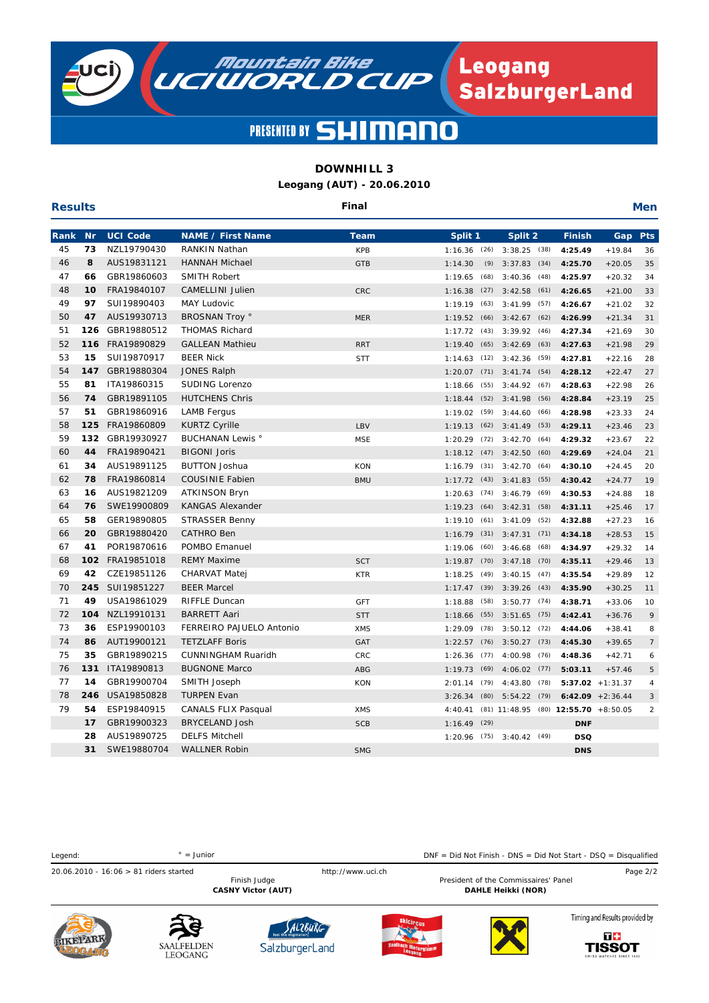

**TISSOT** 

# PRESENTED BY SHIMAI

# **DOWNHILL 3**

**Leogang (AUT) - 20.06.2010**

| <b>Results</b> |           |                 | Final                      |            |                 |                     |                            |                     |                |
|----------------|-----------|-----------------|----------------------------|------------|-----------------|---------------------|----------------------------|---------------------|----------------|
| Rank           | <b>Nr</b> | <b>UCI Code</b> | <b>NAME / First Name</b>   | Team       | Split 1         | Split 2             | <b>Finish</b>              | Gap                 | <b>Pts</b>     |
| 45             | 73        | NZL19790430     | <b>RANKIN Nathan</b>       | <b>KPB</b> | $1:16.36$ (26)  | $3:38.25$ (38)      | 4:25.49                    | $+19.84$            | 36             |
| 46             | 8         | AUS19831121     | <b>HANNAH Michael</b>      | <b>GTB</b> | (9)<br>1:14.30  | 3:37.83<br>(34)     | 4:25.70                    | $+20.05$            | 35             |
| 47             | 66        | GBR19860603     | <b>SMITH Robert</b>        |            | 1:19.65<br>(68) | 3:40.36<br>(48)     | 4:25.97                    | $+20.32$            | 34             |
| 48             | 10        | FRA19840107     | <b>CAMELLINI Julien</b>    | <b>CRC</b> | 1:16.38<br>(27) | 3:42.58<br>(61)     | 4:26.65                    | $+21.00$            | 33             |
| 49             | 97        | SUI19890403     | <b>MAY Ludovic</b>         |            | 1:19.19<br>(63) | 3:41.99<br>(57)     | 4:26.67                    | $+21.02$            | 32             |
| 50             | 47        | AUS19930713     | <b>BROSNAN Troy °</b>      | <b>MER</b> | 1:19.52<br>(66) | $3:42.67$ (62)      | 4:26.99                    | $+21.34$            | 31             |
| 51             | 126       | GBR19880512     | <b>THOMAS Richard</b>      |            | 1:17.72<br>(43) | 3:39.92<br>(46)     | 4:27.34                    | $+21.69$            | 30             |
| 52             | 116       | FRA19890829     | <b>GALLEAN Mathieu</b>     | <b>RRT</b> | 1:19.40<br>(65) | 3:42.69<br>(63)     | 4:27.63                    | $+21.98$            | 29             |
| 53             | 15        | SUI19870917     | <b>BEER Nick</b>           | <b>STT</b> | 1:14.63<br>(12) | 3:42.36<br>(59)     | 4:27.81                    | $+22.16$            | 28             |
| 54             | 147       | GBR19880304     | <b>JONES Ralph</b>         |            | 1:20.07<br>(71) | $3:41.74$ (54)      | 4:28.12                    | $+22.47$            | 27             |
| 55             | 81        | ITA19860315     | <b>SUDING Lorenzo</b>      |            | 1:18.66<br>(55) | 3:44.92(67)         | 4:28.63                    | $+22.98$            | 26             |
| 56             | 74        | GBR19891105     | <b>HUTCHENS Chris</b>      |            | (52)<br>1:18.44 | 3:41.98<br>(56)     | 4:28.84                    | $+23.19$            | 25             |
| 57             | 51        | GBR19860916     | <b>LAMB Fergus</b>         |            | 1:19.02<br>(59) | 3:44.60<br>(66)     | 4:28.98                    | $+23.33$            | 24             |
| 58             | 125       | FRA19860809     | <b>KURTZ Cyrille</b>       | LBV        | 1:19.13<br>(62) | 3:41.49<br>(53)     | 4:29.11                    | $+23.46$            | 23             |
| 59             | 132       | GBR19930927     | <b>BUCHANAN Lewis</b> °    | <b>MSE</b> | 1:20.29<br>(72) | 3:42.70<br>(64)     | 4:29.32                    | $+23.67$            | 22             |
| 60             | 44        | FRA19890421     | <b>BIGONI Joris</b>        |            | (47)<br>1:18.12 | 3:42.50<br>(60)     | 4:29.69                    | $+24.04$            | 21             |
| 61             | 34        | AUS19891125     | <b>BUTTON Joshua</b>       | <b>KON</b> | (31)<br>1:16.79 | 3:42.70<br>(64)     | 4:30.10                    | $+24.45$            | 20             |
| 62             | 78        | FRA19860814     | <b>COUSINIE Fabien</b>     | <b>BMU</b> | 1:17.72<br>(43) | (55)<br>3:41.83     | 4:30.42                    | $+24.77$            | 19             |
| 63             | 16        | AUS19821209     | <b>ATKINSON Bryn</b>       |            | (74)<br>1:20.63 | (69)<br>3:46.79     | 4:30.53                    | $+24.88$            | 18             |
| 64             | 76        | SWE19900809     | <b>KANGAS Alexander</b>    |            | 1:19.23<br>(64) | 3:42.31<br>(58)     | 4:31.11                    | $+25.46$            | 17             |
| 65             | 58        | GER19890805     | <b>STRASSER Benny</b>      |            | 1:19.10<br>(61) | 3:41.09<br>(52)     | 4:32.88                    | $+27.23$            | 16             |
| 66             | 20        | GBR19880420     | <b>CATHRO Ben</b>          |            | 1:16.79<br>(31) | 3:47.31<br>(71)     | 4:34.18                    | $+28.53$            | 15             |
| 67             | 41        | POR19870616     | POMBO Emanuel              |            | 1:19.06<br>(60) | 3:46.68<br>(68)     | 4:34.97                    | $+29.32$            | 14             |
| 68             | 102       | FRA19851018     | <b>REMY Maxime</b>         | <b>SCT</b> | 1:19.87<br>(70) | 3:47.18<br>(70)     | 4:35.11                    | $+29.46$            | 13             |
| 69             | 42        | CZE19851126     | <b>CHARVAT Matej</b>       | <b>KTR</b> | 1:18.25<br>(49) | 3:40.15<br>(47)     | 4:35.54                    | $+29.89$            | 12             |
| 70             | 245       | SUI19851227     | <b>BEER Marcel</b>         |            | 1:17.47<br>(39) | 3:39.26<br>(43)     | 4:35.90                    | $+30.25$            | 11             |
| 71             | 49        | USA19861029     | <b>RIFFLE Duncan</b>       | <b>GFT</b> | 1:18.88<br>(58) | $3:50.77$ (74)      | 4:38.71                    | $+33.06$            | 10             |
| 72             | 104       | NZL19910131     | <b>BARRETT Aari</b>        | <b>STT</b> | (55)<br>1:18.66 | $3:51.65$ (75)      | 4:42.41                    | $+36.76$            | 9              |
| 73             | 36        | ESP19900103     | FERREIRO PAJUELO Antonio   | <b>XMS</b> | 1:29.09<br>(78) | $3:50.12$ (72)      | 4:44.06                    | $+38.41$            | 8              |
| 74             | 86        | AUT19900121     | <b>TETZLAFF Boris</b>      | GAT        | 1:22.57<br>(76) | $3:50.27$ (73)      | 4:45.30                    | $+39.65$            | $\overline{7}$ |
| 75             | 35        | GBR19890215     | <b>CUNNINGHAM Ruaridh</b>  | CRC        | 1:26.36<br>(77) | 4:00.98<br>(76)     | 4:48.36                    | $+42.71$            | 6              |
| 76             | 131       | ITA19890813     | <b>BUGNONE Marco</b>       | ABG        | 1:19.73<br>(69) | 4:06.02<br>(77)     | 5:03.11                    | $+57.46$            | 5              |
| 77             | 14        | GBR19900704     | SMITH Joseph               | <b>KON</b> | 2:01.14<br>(79) | 4:43.80<br>(78)     |                            | $5:37.02 + 1:31.37$ | $\overline{4}$ |
| 78             | 246       | USA19850828     | <b>TURPEN Evan</b>         |            | 3:26.34<br>(80) | $5:54.22$ (79)      |                            | $6:42.09$ +2:36.44  | 3              |
| 79             | 54        | ESP19840915     | <b>CANALS FLIX Pasqual</b> | <b>XMS</b> | 4:40.41         | $(81)$ 11:48.95     | $(80)$ 12:55.70 $+8:50.05$ |                     | $\overline{2}$ |
|                | 17        | GBR19900323     | <b>BRYCELAND Josh</b>      | <b>SCB</b> | 1:16.49<br>(29) |                     | <b>DNF</b>                 |                     |                |
|                | 28        | AUS19890725     | <b>DELFS Mitchell</b>      |            | 1:20.96         | $(75)$ 3:40.42 (49) | <b>DSQ</b>                 |                     |                |
|                | 31        | SWE19880704     | <b>WALLNER Robin</b>       | <b>SMG</b> |                 |                     | <b>DNS</b>                 |                     |                |

```
Legend: DNF = Did Not Finish - DNS = Did Not Start - DSQ = Disqualified\degree = Junior
20.06.2010 - 16:06 > 81 riders started http://www.uci.ch Page 2/2
                                                        President of the Commissaires' Panel
                       CASNY Victor (AUT) DAHLE Heikki (NOR)
                                                                           Timing and Results provided by
                                  SALZBURG
                                                                                T +WEPA
```
SalzburgerLand

SAALFELDEN

LEOGANG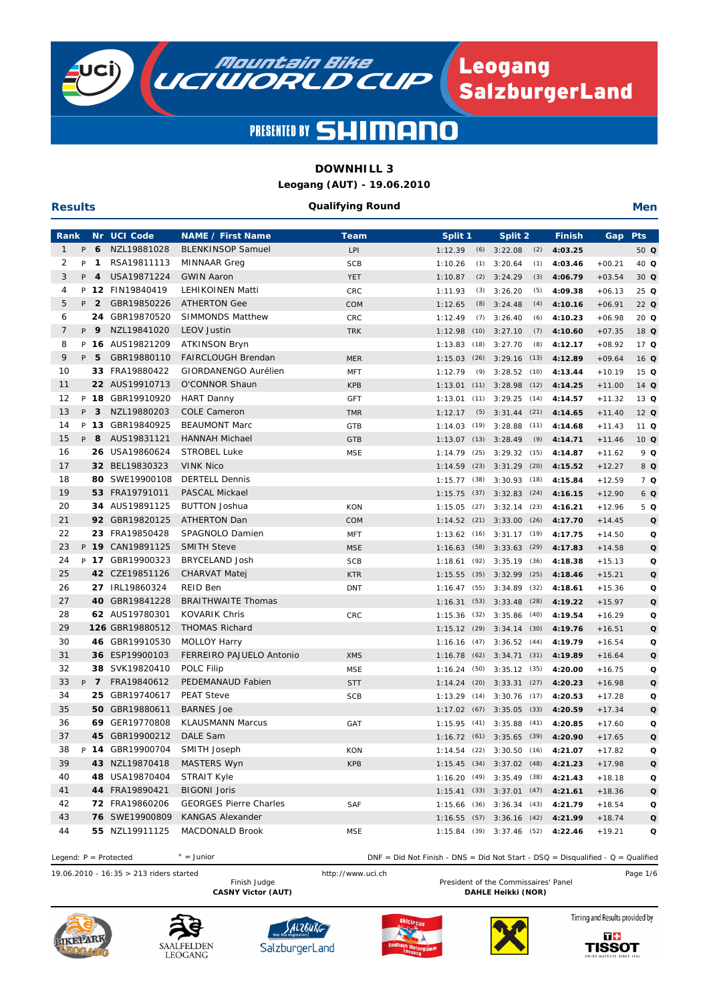

**Results**

# PRESENTED BY SHIMAI

### **DOWNHILL 3**

**Leogang (AUT) - 19.06.2010**

#### **Qualifying Round**

**Men**

| Rank           |    |                | Nr UCI Code      | <b>NAME / First Name</b>      | <b>Team</b> | Split <sub>1</sub> |      | Split 2                       |      | <b>Finish</b> | Gap      | <b>Pts</b>      |
|----------------|----|----------------|------------------|-------------------------------|-------------|--------------------|------|-------------------------------|------|---------------|----------|-----------------|
| $\mathbf{1}$   | P  | 6              | NZL19881028      | <b>BLENKINSOP Samuel</b>      | LPI         | 1:12.39            | (6)  | 3:22.08                       | (2)  | 4:03.25       |          | 50 Q            |
| 2              | P  | $\mathbf{1}$   | RSA19811113      | <b>MINNAAR</b> Greg           | <b>SCB</b>  | 1:10.26            | (1)  | 3:20.64                       | (1)  | 4:03.46       | $+00.21$ | 40 Q            |
| 3              | P  | $\overline{4}$ | USA19871224      | <b>GWIN Aaron</b>             | <b>YET</b>  | 1:10.87            | (2)  | 3:24.29                       | (3)  | 4:06.79       | $+03.54$ | 30 <sub>Q</sub> |
| 4              |    |                | P 12 FIN19840419 | LEHIKOINEN Matti              | CRC         | 1:11.93            | (3)  | 3:26.20                       | (5)  | 4:09.38       | $+06.13$ | $25$ Q          |
| 5              |    | P 2            | GBR19850226      | <b>ATHERTON Gee</b>           | COM         | 1:12.65            | (8)  | 3:24.48                       | (4)  | 4:10.16       | $+06.91$ | 22 Q            |
| 6              |    |                | 24 GBR19870520   | <b>SIMMONDS Matthew</b>       | <b>CRC</b>  | 1:12.49            |      | $(7)$ 3:26.40                 | (6)  | 4:10.23       | $+06.98$ | $20$ Q          |
| $\overline{7}$ | P  | - 9            | NZL19841020      | <b>LEOV Justin</b>            | <b>TRK</b>  | 1:12.98            |      | $(10)$ 3:27.10                | (7)  | 4:10.60       | $+07.35$ | 18 Q            |
| 8              |    |                | P 16 AUS19821209 | ATKINSON Bryn                 |             | $1:13.83$ (18)     |      | 3:27.70                       | (8)  | 4:12.17       | $+08.92$ | 17 <sub>Q</sub> |
| 9              | P. | 5              | GBR19880110      | <b>FAIRCLOUGH Brendan</b>     | <b>MER</b>  |                    |      | 1:15.03 (26) 3:29.16          | (13) | 4:12.89       | $+09.64$ | 16Q             |
| 10             |    |                | 33 FRA19880422   | GIORDANENGO Aurélien          | <b>MFT</b>  | 1:12.79            | (9)  | 3:28.52                       | (10) | 4:13.44       | $+10.19$ | 15Q             |
| 11             |    |                | 22 AUS19910713   | O'CONNOR Shaun                | <b>KPB</b>  | 1:13.01            |      | $(11)$ 3:28.98                | (12) | 4:14.25       | $+11.00$ | 14 Q            |
| 12             |    |                | P 18 GBR19910920 | <b>HART Danny</b>             | <b>GFT</b>  | 1:13.01            | (11) | 3:29.25                       | (14) | 4:14.57       | $+11.32$ | 13 <sub>Q</sub> |
| 13             | P  | 3              | NZL19880203      | <b>COLE Cameron</b>           | <b>TMR</b>  | 1:12.17            | (5)  | 3:31.44                       | (21) | 4:14.65       | $+11.40$ | $12$ Q          |
| 14             |    |                | P 13 GBR19840925 | <b>BEAUMONT Marc</b>          | GTB         | $1:14.03$ (19)     |      | 3:28.88                       | (11) | 4:14.68       | $+11.43$ | 11 <sub>Q</sub> |
| 15             | P  | 8              | AUS19831121      | <b>HANNAH Michael</b>         | <b>GTB</b>  |                    |      | $1:13.07$ (13) $3:28.49$      | (9)  | 4:14.71       | $+11.46$ | 10Q             |
| 16             |    |                | 26 USA19860624   | <b>STROBEL Luke</b>           | <b>MSE</b>  | $1:14.79$ (25)     |      | 3:29.32                       | (15) | 4:14.87       | $+11.62$ | 9 Q             |
| 17             |    |                | 32 BEL19830323   | <b>VINK Nico</b>              |             | 1:14.59            |      | $(23)$ $3:31.29$              | (20) | 4:15.52       | $+12.27$ | 8 Q             |
| 18             |    |                | 80 SWE19900108   | <b>DERTELL Dennis</b>         |             | $1:15.77$ (38)     |      | 3:30.93                       | (18) | 4:15.84       | $+12.59$ | 7Q              |
| 19             |    |                | 53 FRA19791011   | <b>PASCAL Mickael</b>         |             | 1:15.75            | (37) | 3:32.83                       | (24) | 4:16.15       | $+12.90$ | 6Q              |
| 20             |    |                | 34 AUS19891125   | <b>BUTTON Joshua</b>          | KON         | 1:15.05            | (27) | 3:32.14                       | (23) | 4:16.21       | $+12.96$ | 5Q              |
| 21             |    |                | 92 GBR19820125   | <b>ATHERTON Dan</b>           | COM         | $1:14.52$ (21)     |      | 3:33.00                       | (26) | 4:17.70       | $+14.45$ | $\mathbf Q$     |
| 22             |    |                | 23 FRA19850428   | SPAGNOLO Damien               | <b>MFT</b>  | $1:13.62$ (16)     |      | 3:31.17                       | (19) | 4:17.75       | $+14.50$ | Q               |
| 23             |    |                | P 19 CAN19891125 | <b>SMITH Steve</b>            | <b>MSE</b>  | 1:16.63(58)        |      | 3:33.63                       | (29) | 4:17.83       | $+14.58$ | $\mathbf Q$     |
| 24             |    |                | P 17 GBR19900323 | BRYCELAND Josh                | <b>SCB</b>  | $1:18.61$ (92)     |      | 3:35.19                       | (36) | 4:18.38       | $+15.13$ | Q               |
| 25             |    |                | 42 CZE19851126   | CHARVAT Matej                 | <b>KTR</b>  |                    |      | $1:15.55$ (35) $3:32.99$      | (25) | 4:18.46       | $+15.21$ | $\mathbf Q$     |
| 26             |    |                | 27 IRL19860324   | REID Ben                      | <b>DNT</b>  | $1:16.47$ (55)     |      | 3:34.89                       | (32) | 4:18.61       | $+15.36$ | Q               |
| 27             |    |                | 40 GBR19841228   | <b>BRAITHWAITE Thomas</b>     |             | 1:16.31(53)        |      | 3:33.48                       | (28) | 4:19.22       | $+15.97$ | $\mathbf Q$     |
| 28             |    |                | 62 AUS19780301   | <b>KOVARIK Chris</b>          | CRC         | 1:15.36            | (32) | 3:35.86                       | (40) | 4:19.54       | $+16.29$ | Q               |
| 29             |    |                | 126 GBR19880512  | <b>THOMAS Richard</b>         |             |                    |      | $1:15.12$ (29) $3:34.14$      | (30) | 4:19.76       | $+16.51$ | $\mathbf Q$     |
| 30             |    |                | 46 GBR19910530   | <b>MOLLOY Harry</b>           |             | 1:16.16            | (47) | 3:36.52                       | (44) | 4:19.79       | $+16.54$ | Q               |
| 31             |    |                | 36 ESP19900103   | FERREIRO PAJUELO Antonio      | <b>XMS</b>  | 1:16.78            | (62) | 3:34.71                       | (31) | 4:19.89       | $+16.64$ | $\mathbf Q$     |
| 32             |    |                | 38 SVK19820410   | POLC Filip                    | <b>MSE</b>  | $1:16.24$ (50)     |      | $3:35.12$ (35)                |      | 4:20.00       | $+16.75$ | Q               |
| 33             |    | P 7            | FRA19840612      | PEDEMANAUD Fabien             | <b>STT</b>  |                    |      | $1:14.24$ (20) $3:33.31$      | (27) | 4:20.23       | $+16.98$ | $\mathbf Q$     |
| 34             |    |                | 25 GBR19740617   | <b>PEAT Steve</b>             | <b>SCB</b>  | $1:13.29$ (14)     |      | 3:30.76                       | (17) | 4:20.53       | $+17.28$ | Q               |
| 35             |    |                | 50 GBR19880611   | <b>BARNES Joe</b>             |             |                    |      | $1:17.02$ (67) $3:35.05$      | (33) | 4:20.59       | $+17.34$ | $\mathbf Q$     |
| 36             |    |                | 69 GER19770808   | <b>KLAUSMANN Marcus</b>       | GAT         |                    |      | $1:15.95$ (41) $3:35.88$      | (41) | 4:20.85       | $+17.60$ | Q               |
| 37             |    | 45             | GBR19900212      | DALE Sam                      |             | 1:16.72(61)        |      | 3:35.65                       | (39) | 4:20.90       | $+17.65$ | $\mathbf Q$     |
| 38             |    |                | P 14 GBR19900704 | SMITH Joseph                  | KON         |                    |      | $1:14.54$ (22) $3:30.50$ (16) |      | 4:21.07       | $+17.82$ | Q               |
| 39             |    |                | 43 NZL19870418   | MASTERS Wyn                   | <b>KPB</b>  |                    |      | 1:15.45 (34) 3:37.02 (48)     |      | 4:21.23       | $+17.98$ | Q               |
| 40             |    |                | 48 USA19870404   | <b>STRAIT Kyle</b>            |             |                    |      | 1:16.20 (49) 3:35.49 (38)     |      | 4:21.43       | $+18.18$ | Q               |
| 41             |    |                | 44 FRA19890421   | <b>BIGONI Joris</b>           |             |                    |      | $1:15.41$ (33) $3:37.01$ (47) |      | 4:21.61       | $+18.36$ | Q               |
| 42             |    |                | 72 FRA19860206   | <b>GEORGES Pierre Charles</b> | SAF         |                    |      | 1:15.66 (36) 3:36.34 (43)     |      | 4:21.79       | $+18.54$ | Q               |
| 43             |    |                | 76 SWE19900809   | <b>KANGAS Alexander</b>       |             |                    |      | $1:16.55$ (57) $3:36.16$ (42) |      | 4:21.99       | $+18.74$ | Q               |
| 44             |    |                | 55 NZL19911125   | MACDONALD Brook               | MSE         |                    |      | 1:15.84 (39) 3:37.46 (52)     |      | 4:22.46       | $+19.21$ | Q               |
|                |    |                |                  |                               |             |                    |      |                               |      |               |          |                 |

19.06.2010 - 16:35 > 213 riders started Finish Judge http://www.uci.ch Pesident of the Commissaires' Panel Page 1/6  $\degree$  = Junior President of the Commissaires' Panel CASNY Victor (AUT) **DAHLE Heikki** (NOR) Legend: P = Protected <br>
DNF = Did Not Finish - DNS = Did Not Start - DSQ = Disqualified - Q = Qualified











Timing and Results provided by  $T +$ 

**TISSOT**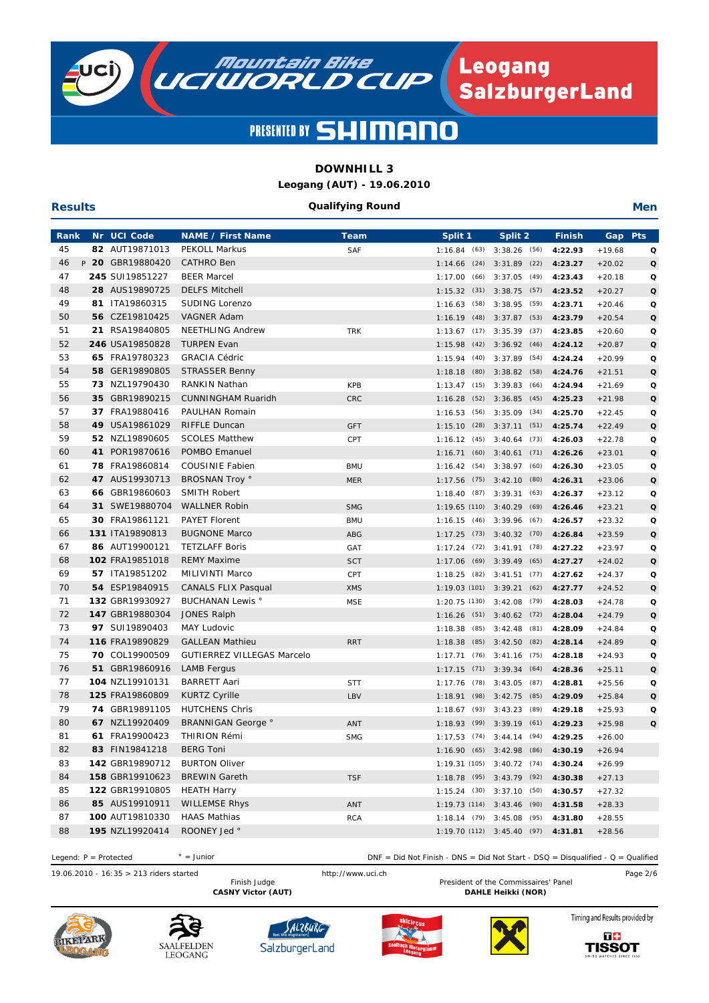

### **DOWNHILL 3**

**Leogang (AUT) - 19.06.2010**

#### **Qualifying Round**

**Men**

| Rank     | Nr UCI Code                       | <b>NAME / First Name</b>                   | <b>Team</b> | Split 1        |      | Split 2                          | <b>Finish</b> | Gap      | <b>Pts</b>  |
|----------|-----------------------------------|--------------------------------------------|-------------|----------------|------|----------------------------------|---------------|----------|-------------|
| 45       | 82 AUT19871013                    | <b>PEKOLL Markus</b>                       | SAF         | 1:16.84(63)    |      | $3:38.26$ (56)                   | 4:22.93       | $+19.68$ | Q           |
| 46       | P 20 GBR19880420                  | <b>CATHRO Ben</b>                          |             | $1:14.66$ (24) |      | 3:31.89<br>(22)                  | 4:23.27       | $+20.02$ | $\Omega$    |
| 47       | 245 SUI19851227                   | <b>BEER Marcel</b>                         |             | 1:17.00(66)    |      | 3:37.05<br>(49)                  | 4:23.43       | $+20.18$ | Q           |
| 48       | 28 AUS19890725                    | <b>DELFS Mitchell</b>                      |             | 1:15.32        | (31) | 3:38.75<br>(57)                  | 4:23.52       | $+20.27$ | $\mathbf Q$ |
| 49       | 81 ITA19860315                    | SUDING Lorenzo                             |             | 1:16.63        | (58) | 3:38.95<br>(59)                  | 4:23.71       | $+20.46$ | Q           |
| 50       | 56 CZE19810425                    | <b>VAGNER Adam</b>                         |             | 1:16.19        | (48) | 3:37.87<br>(53)                  | 4:23.79       | $+20.54$ | $\mathbf Q$ |
| 51       | 21 RSA19840805                    | <b>NEETHLING Andrew</b>                    | <b>TRK</b>  | 1:13.67        | (17) | 3:35.39<br>(37)                  | 4:23.85       | $+20.60$ | Q           |
| 52       | 246 USA19850828                   | <b>TURPEN Evan</b>                         |             | 1:15.98        | (42) | 3:36.92<br>(46)                  | 4:24.12       | $+20.87$ | Q           |
| 53       | 65 FRA19780323                    | <b>GRACIA Cédric</b>                       |             | 1:15.94        | (40) | (54)<br>3:37.89                  | 4:24.24       | $+20.99$ | Q           |
| 54       | 58 GER19890805                    | <b>STRASSER Benny</b>                      |             | 1:18.18        |      | $(80)$ 3:38.82<br>(58)           | 4:24.76       | $+21.51$ | $\mathbf Q$ |
| 55       | 73 NZL19790430                    | <b>RANKIN Nathan</b>                       | <b>KPB</b>  | $1:13.47$ (15) |      | 3:39.83<br>(66)                  | 4:24.94       | $+21.69$ | Q           |
| 56       | 35 GBR19890215                    | <b>CUNNINGHAM Ruaridh</b>                  | CRC         | 1:16.28        |      | $(52)$ 3:36.85<br>(45)           | 4:25.23       | $+21.98$ | $\mathbf Q$ |
| 57       | 37 FRA19880416                    | PAULHAN Romain                             |             | 1:16.53(56)    |      | 3:35.09<br>(34)                  | 4:25.70       | $+22.45$ | Q           |
| 58       | 49 USA19861029                    | <b>RIFFLE Duncan</b>                       | <b>GFT</b>  | 1:15.10        | (28) | 3:37.11<br>(51)                  | 4:25.74       | $+22.49$ | $\mathbf Q$ |
| 59       | 52 NZL19890605                    | <b>SCOLES Matthew</b>                      | CPT         | 1:16.12        | (45) | (73)<br>3:40.64                  | 4:26.03       | $+22.78$ | Q           |
| 60       | 41 POR19870616                    | POMBO Emanuel                              |             | 1:16.71        | (60) | 3:40.61<br>(71)                  | 4:26.26       | $+23.01$ | Q           |
| 61       | 78 FRA19860814                    | <b>COUSINIE Fabien</b>                     | <b>BMU</b>  | 1:16.42        | (54) | 3:38.97<br>(60)                  | 4:26.30       | $+23.05$ | Q           |
| 62       | 47 AUS19930713                    | <b>BROSNAN Troy °</b>                      | <b>MER</b>  | 1:17.56        |      | $(75)$ 3:42.10<br>(80)           | 4:26.31       | $+23.06$ | Q           |
| 63       | 66 GBR19860603                    | <b>SMITH Robert</b>                        |             | $1:18.40$ (87) |      | (63)<br>3:39.31                  | 4:26.37       | $+23.12$ | Q           |
| 64       | 31 SWE19880704                    | <b>WALLNER Robin</b>                       | <b>SMG</b>  |                |      | 1:19.65 (110) 3:40.29<br>(69)    | 4:26.46       | $+23.21$ | $\mathbf Q$ |
| 65       | 30 FRA19861121                    | <b>PAYET Florent</b>                       | <b>BMU</b>  | 1:16.15(46)    |      | 3:39.96<br>(67)                  | 4:26.57       | $+23.32$ | Q           |
| 66       | 131 ITA19890813                   | <b>BUGNONE Marco</b>                       | ABG         |                |      | $1:17.25$ (73) $3:40.32$<br>(70) | 4:26.84       | $+23.59$ | $\mathbf Q$ |
| 67       | 86 AUT19900121                    | <b>TETZLAFF Boris</b>                      | GAT         | 1:17.24        | (72) | 3:41.91<br>(78)                  | 4:27.22       | $+23.97$ | Q           |
| 68       | 102 FRA19851018                   | <b>REMY Maxime</b>                         | <b>SCT</b>  | 1:17.06        | (69) | 3:39.49<br>(65)                  | 4:27.27       | $+24.02$ | $\mathbf Q$ |
| 69       | 57 ITA19851202                    | MILIVINTI Marco                            | CPT         | 1:18.25        | (82) | 3:41.51<br>(77)                  | 4:27.62       | $+24.37$ | Q           |
| 70       | 54 ESP19840915                    | <b>CANALS FLIX Pasqual</b>                 | <b>XMS</b>  | 1:19.03 (101)  |      | 3:39.21<br>(62)                  | 4:27.77       | $+24.52$ | Q           |
| 71       | 132 GBR19930927                   | <b>BUCHANAN Lewis</b> °                    | <b>MSE</b>  | 1:20.75(130)   |      | 3:42.08<br>(79)                  | 4:28.03       | $+24.78$ | Q           |
| 72       | 147 GBR19880304                   | <b>JONES Ralph</b>                         |             |                |      | $1:16.26$ (51) $3:40.62$<br>(72) | 4:28.04       | $+24.79$ | Q           |
| 73       | 97 SUI19890403                    | <b>MAY Ludovic</b>                         |             | 1:18.38        | (85) | 3:42.48<br>(81)                  | 4:28.09       | $+24.84$ | Q           |
| 74       | 116 FRA19890829                   | <b>GALLEAN Mathieu</b>                     | <b>RRT</b>  | 1:18.38        | (85) | 3:42.50<br>(82)                  | 4:28.14       | $+24.89$ | $\Omega$    |
| 75       | 70 COL19900509                    | <b>GUTIERREZ VILLEGAS Marcelo</b>          |             | 1:17.71        |      | $(76)$ 3:41.16<br>(75)           | 4:28.18       | $+24.93$ | Q           |
| 76       | 51 GBR19860916                    | <b>LAMB Fergus</b>                         |             | 1:17.15        | (71) | 3:39.34<br>(64)                  | 4:28.36       | $+25.11$ | $\Omega$    |
| 77       | 104 NZL19910131                   | <b>BARRETT Aari</b>                        | <b>STT</b>  | 1:17.76        | (78) | 3:43.05<br>(87)                  | 4:28.81       | $+25.56$ | Q           |
| 78       | 125 FRA19860809                   | <b>KURTZ Cyrille</b>                       | LBV         | 1:18.91        | (98) | 3:42.75<br>(85)                  | 4:29.09       | $+25.84$ | $\mathbf Q$ |
| 79       | 74 GBR19891105                    | <b>HUTCHENS Chris</b>                      |             | 1:18.67        | (93) | 3:43.23<br>(89)                  | 4:29.18       | $+25.93$ | Q           |
| 80       | 67 NZL19920409                    | <b>BRANNIGAN George</b> °                  | ANT         | 1:18.93(99)    |      | 3:39.19<br>(61)                  | 4:29.23       | $+25.98$ | $\mathbf Q$ |
| 81       | 61 FRA19900423                    | <b>THIRION Rémi</b>                        | <b>SMG</b>  |                |      | $1:17.53$ (74) $3:44.14$<br>(94) | 4:29.25       | $+26.00$ |             |
| 82       | 83 FIN19841218                    | <b>BERG Toni</b>                           |             |                |      | $1:16.90$ (65) $3:42.98$<br>(86) | 4:30.19       | $+26.94$ |             |
| 83       | 142 GBR19890712                   | <b>BURTON Oliver</b>                       |             |                |      | $1:19.31(105)$ $3:40.72(74)$     | 4:30.24       | $+26.99$ |             |
| 84       | 158 GBR19910623                   | <b>BREWIN Gareth</b>                       | <b>TSF</b>  |                |      | 1:18.78 (95) 3:43.79 (92)        | 4:30.38       | $+27.13$ |             |
| 85       | 122 GBR19910805<br>85 AUS19910911 | <b>HEATH Harry</b><br><b>WILLEMSE Rhys</b> |             |                |      | 1:15.24 (30) 3:37.10 (50)        | 4:30.57       | $+27.32$ |             |
| 86<br>87 | 100 AUT19810330                   | <b>HAAS Mathias</b>                        | ANT         |                |      | 1:19.73 (114) 3:43.46 (90)       | 4:31.58       | $+28.33$ |             |
| 88       | 195 NZL19920414                   | ROONEY Jed °                               | <b>RCA</b>  |                |      | 1:18.14 (79) 3:45.08 (95)        | 4:31.80       | $+28.55$ |             |
|          |                                   |                                            |             |                |      | $1:19.70(112)$ $3:45.40(97)$     | 4:31.81       | $+28.56$ |             |

19.06.2010 - 16:35 > 213 riders started http://www.uci.ch Page 2/6  $\degree$  = Junior President of the Commissaires' Panel CASNY Victor (AUT) **DAHLE Heikki** (NOR) Legend: P = Protected <br>
DNF = Did Not Finish - DNS = Did Not Start - DSQ = Disqualified - Q = Qualified



**Results**









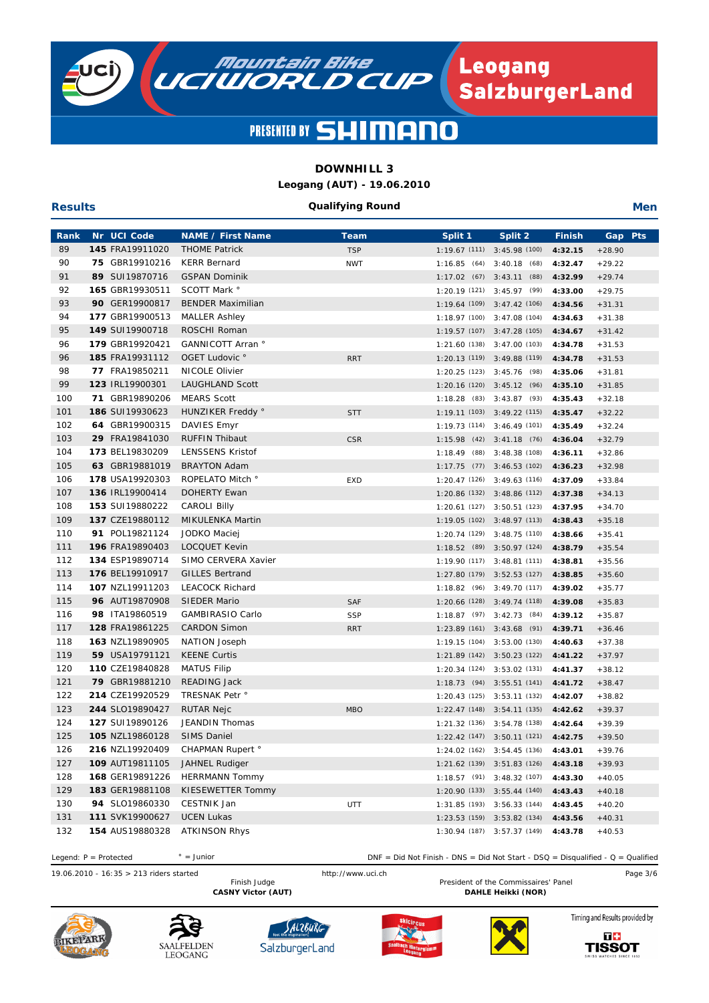

## **DOWNHILL 3**

**Leogang (AUT) - 19.06.2010**

#### **Qualifying Round**

**Men**

| <b>Rank</b> | Nr UCI Code     | <b>NAME / First Name</b>  | Team       | Split 1 | Split 2                        | <b>Finish</b> | Gap Pts  |
|-------------|-----------------|---------------------------|------------|---------|--------------------------------|---------------|----------|
| 89          | 145 FRA19911020 | <b>THOME Patrick</b>      | <b>TSP</b> |         | $1:19.67(111)$ $3:45.98(100)$  | 4:32.15       | $+28.90$ |
| 90          | 75 GBR19910216  | <b>KERR Bernard</b>       | <b>NWT</b> |         | $1:16.85$ (64) $3:40.18$ (68)  | 4:32.47       | $+29.22$ |
| 91          | 89 SUI19870716  | <b>GSPAN Dominik</b>      |            |         | $1:17.02$ (67) $3:43.11$ (88)  | 4:32.99       | $+29.74$ |
| 92          | 165 GBR19930511 | SCOTT Mark °              |            |         | $1:20.19(121)$ $3:45.97(99)$   | 4:33.00       | $+29.75$ |
| 93          | 90 GER19900817  | <b>BENDER Maximilian</b>  |            |         | 1:19.64 (109) 3:47.42 (106)    | 4:34.56       | $+31.31$ |
| 94          | 177 GBR19900513 | <b>MALLER Ashley</b>      |            |         | 1:18.97 (100) 3:47.08 (104)    | 4:34.63       | $+31.38$ |
| 95          | 149 SUI19900718 | ROSCHI Roman              |            |         | $1:19.57(107)$ $3:47.28(105)$  | 4:34.67       | $+31.42$ |
| 96          | 179 GBR19920421 | GANNICOTT Arran °         |            |         | 1:21.60 (138) 3:47.00 (103)    | 4:34.78       | $+31.53$ |
| 96          | 185 FRA19931112 | OGET Ludovic °            | <b>RRT</b> |         | $1:20.13(119)$ $3:49.88(119)$  | 4:34.78       | $+31.53$ |
| 98          | 77 FRA19850211  | NICOLE Olivier            |            |         | 1:20.25 (123) 3:45.76 (98)     | 4:35.06       | $+31.81$ |
| 99          | 123 IRL19900301 | <b>LAUGHLAND Scott</b>    |            |         | 1:20.16 (120) 3:45.12 (96)     | 4:35.10       | $+31.85$ |
| 100         | 71 GBR19890206  | <b>MEARS Scott</b>        |            |         | 1:18.28 (83) 3:43.87 (93)      | 4:35.43       | $+32.18$ |
| 101         | 186 SUI19930623 | HUNZIKER Freddy °         | <b>STT</b> |         | 1:19.11 (103) 3:49.22 (115)    | 4:35.47       | $+32.22$ |
| 102         | 64 GBR19900315  | DAVIES Emyr               |            |         | 1:19.73 (114) 3:46.49 (101)    | 4:35.49       | $+32.24$ |
| 103         | 29 FRA19841030  | <b>RUFFIN Thibaut</b>     | <b>CSR</b> |         | $1:15.98$ (42) $3:41.18$ (76)  | 4:36.04       | $+32.79$ |
| 104         | 173 BEL19830209 | <b>LENSSENS Kristof</b>   |            |         | 1:18.49 (88) 3:48.38 (108)     | 4:36.11       | $+32.86$ |
| 105         | 63 GBR19881019  | <b>BRAYTON Adam</b>       |            |         | 1:17.75 (77) 3:46.53 (102)     | 4:36.23       | $+32.98$ |
| 106         | 178 USA19920303 | ROPELATO Mitch °          | EXD        |         | 1:20.47 (126) 3:49.63 (116)    | 4:37.09       | $+33.84$ |
| 107         | 136 IRL19900414 | <b>DOHERTY Ewan</b>       |            |         | $1:20.86(132)$ $3:48.86(112)$  | 4:37.38       | $+34.13$ |
| 108         | 153 SUI19880222 | <b>CAROLI Billy</b>       |            |         | 1:20.61 (127) 3:50.51 (123)    | 4:37.95       | $+34.70$ |
| 109         | 137 CZE19880112 | MIKULENKA Martin          |            |         | $1:19.05(102)$ $3:48.97(113)$  | 4:38.43       | $+35.18$ |
| 110         | 91 POL19821124  | JODKO Maciej              |            |         | 1:20.74 (129) 3:48.75 (110)    | 4:38.66       | $+35.41$ |
| 111         | 196 FRA19890403 | <b>LOCQUET Kevin</b>      |            |         | $1:18.52$ (89) $3:50.97$ (124) | 4:38.79       | $+35.54$ |
| 112         | 134 ESP19890714 | SIMO CERVERA Xavier       |            |         | 1:19.90 (117) 3:48.81 (111)    | 4:38.81       | $+35.56$ |
| 113         | 176 BEL19910917 | <b>GILLES Bertrand</b>    |            |         | 1:27.80 (179) 3:52.53 (127)    | 4:38.85       | $+35.60$ |
| 114         | 107 NZL19911203 | <b>LEACOCK Richard</b>    |            |         | $1:18.82$ (96) $3:49.70$ (117) | 4:39.02       | $+35.77$ |
| 115         | 96 AUT19870908  | <b>SIEDER Mario</b>       | <b>SAF</b> |         | 1:20.66 (128) 3:49.74 (118)    | 4:39.08       | $+35.83$ |
| 116         | 98 ITA19860519  | GAMBIRASIO Carlo          | <b>SSP</b> |         | 1:18.87 (97) 3:42.73 (84)      | 4:39.12       | $+35.87$ |
| 117         | 128 FRA19861225 | <b>CARDON Simon</b>       | <b>RRT</b> |         | 1:23.89 (161) 3:43.68 (91)     | 4:39.71       | $+36.46$ |
| 118         | 163 NZL19890905 | NATION Joseph             |            |         | 1:19.15 (104) 3:53.00 (130)    | 4:40.63       | $+37.38$ |
| 119         | 59 USA19791121  | <b>KEENE Curtis</b>       |            |         | 1:21.89 (142) 3:50.23 (122)    | 4:41.22       | $+37.97$ |
| 120         | 110 CZE19840828 | <b>MATUS Filip</b>        |            |         | 1:20.34 (124) 3:53.02 (131)    | 4:41.37       | $+38.12$ |
| 121         | 79 GBR19881210  | READING Jack              |            |         | 1:18.73 (94) 3:55.51 (141)     | 4:41.72       | $+38.47$ |
| 122         | 214 CZE19920529 | TRESNAK Petr <sup>o</sup> |            |         | 1:20.43 (125) 3:53.11 (132)    | 4:42.07       | $+38.82$ |
| 123         | 244 SLO19890427 | RUTAR Nejc                | <b>MBO</b> |         | $1:22.47(148)$ $3:54.11(135)$  | 4:42.62       | $+39.37$ |
| 124         | 127 SUI19890126 | JEANDIN Thomas            |            |         | 1:21.32 (136) 3:54.78 (138)    | 4:42.64       | $+39.39$ |
| 125         | 105 NZL19860128 | <b>SIMS Daniel</b>        |            |         | 1:22.42 (147) 3:50.11 (121)    | 4:42.75       | $+39.50$ |
| 126         | 216 NZL19920409 | <b>CHAPMAN Rupert</b> °   |            |         | 1:24.02 (162) 3:54.45 (136)    | 4:43.01       | $+39.76$ |
| 127         | 109 AUT19811105 | JAHNEL Rudiger            |            |         | 1:21.62 (139) 3:51.83 (126)    | 4:43.18       | $+39.93$ |
| 128         | 168 GER19891226 | <b>HERRMANN Tommy</b>     |            |         | 1:18.57 (91) 3:48.32 (107)     | 4:43.30       | $+40.05$ |
| 129         | 183 GER19881108 | KIESEWETTER Tommy         |            |         | 1:20.90 (133) 3:55.44 (140)    | 4:43.43       | $+40.18$ |
| 130         | 94 SLO19860330  | CESTNIK Jan               | <b>UTT</b> |         | $1:31.85(193)$ $3:56.33(144)$  | 4:43.45       | $+40.20$ |
| 131         | 111 SVK19900627 | <b>UCEN Lukas</b>         |            |         | 1:23.53 (159) 3:53.82 (134)    | 4:43.56       | $+40.31$ |
| 132         | 154 AUS19880328 | <b>ATKINSON Rhys</b>      |            |         | 1:30.94 (187) 3:57.37 (149)    | 4:43.78       | $+40.53$ |

19.06.2010 - 16:35 > 213 riders started http://www.uci.ch Page 3/6  $\degree$  = Junior President of the Commissaires' Panel CASNY Victor (AUT) **DAHLE Heikki** (NOR) Legend: P = Protected <br>
DNF = Did Not Finish - DNS = Did Not Start - DSQ = Disqualified - Q = Qualified



**Results**









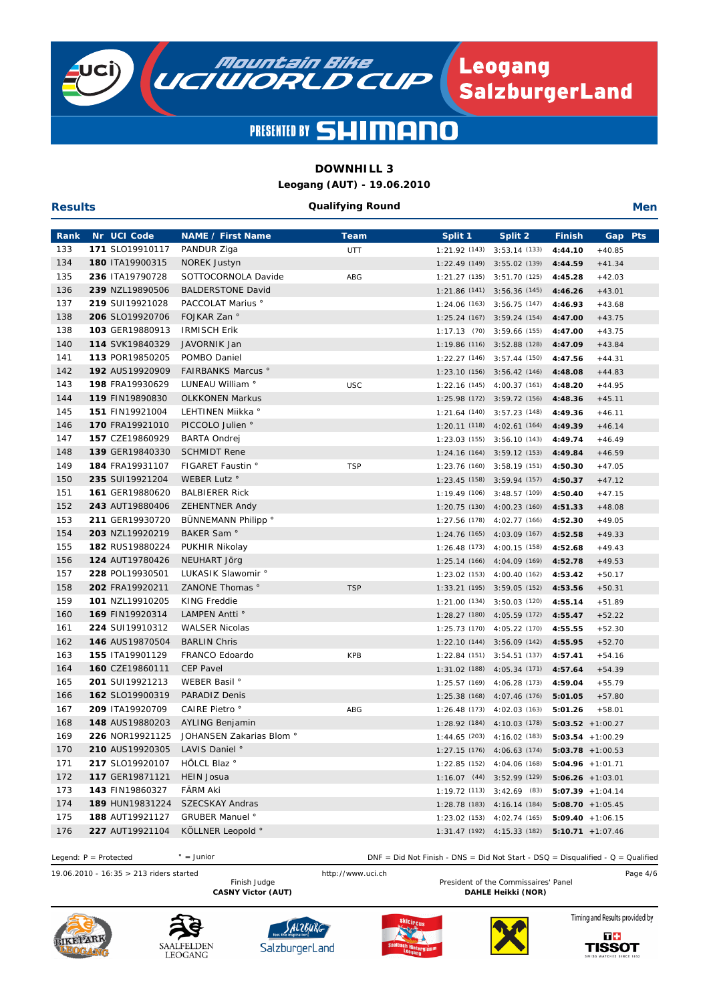

# **DOWNHILL 3**

**Leogang (AUT) - 19.06.2010**

#### **Qualifying Round**

**Men**

| Rank | Nr UCI Code     | <b>NAME / First Name</b>  | <b>Team</b> | Split 1                       | Split 2                        | <b>Finish</b> | Gap Pts             |  |
|------|-----------------|---------------------------|-------------|-------------------------------|--------------------------------|---------------|---------------------|--|
| 133  | 171 SLO19910117 | PANDUR Ziga               | UTT         | 1:21.92(143)                  | 3:53.14(133)                   | 4:44.10       | $+40.85$            |  |
| 134  | 180 ITA19900315 | NOREK Justyn              |             |                               | 1:22.49 (149) 3:55.02 (139)    | 4:44.59       | $+41.34$            |  |
| 135  | 236 ITA19790728 | SOTTOCORNOLA Davide       | ABG         |                               | 1:21.27 (135) 3:51.70 (125)    | 4:45.28       | $+42.03$            |  |
| 136  | 239 NZL19890506 | <b>BALDERSTONE David</b>  |             | $1:21.86(141)$ $3:56.36(145)$ |                                | 4:46.26       | $+43.01$            |  |
| 137  | 219 SUI19921028 | PACCOLAT Marius °         |             | 1:24.06 (163) 3:56.75 (147)   |                                | 4:46.93       | $+43.68$            |  |
| 138  | 206 SLO19920706 | FOJKAR Zan °              |             | $1:25.24(167)$ $3:59.24(154)$ |                                | 4:47.00       | $+43.75$            |  |
| 138  | 103 GER19880913 | <b>IRMISCH Erik</b>       |             |                               | $1:17.13$ (70) $3:59.66$ (155) | 4:47.00       | $+43.75$            |  |
| 140  | 114 SVK19840329 | JAVORNIK Jan              |             | 1:19.86 (116) 3:52.88 (128)   |                                | 4:47.09       | $+43.84$            |  |
| 141  | 113 POR19850205 | POMBO Daniel              |             | 1:22.27 (146) 3:57.44 (150)   |                                | 4:47.56       | $+44.31$            |  |
| 142  | 192 AUS19920909 | <b>FAIRBANKS Marcus °</b> |             | 1:23.10 (156) 3:56.42 (146)   |                                | 4:48.08       | $+44.83$            |  |
| 143  | 198 FRA19930629 | LUNEAU William °          | <b>USC</b>  | 1:22.16 (145) 4:00.37 (161)   |                                | 4:48.20       | $+44.95$            |  |
| 144  | 119 FIN19890830 | <b>OLKKONEN Markus</b>    |             | 1:25.98 (172) 3:59.72 (156)   |                                | 4:48.36       | $+45.11$            |  |
| 145  | 151 FIN19921004 | LEHTINEN Miikka °         |             | 1:21.64 (140) 3:57.23 (148)   |                                | 4:49.36       | $+46.11$            |  |
| 146  | 170 FRA19921010 | PICCOLO Julien °          |             | 1:20.11 (118) 4:02.61 (164)   |                                | 4:49.39       | $+46.14$            |  |
| 147  | 157 CZE19860929 | <b>BARTA Ondrej</b>       |             |                               | $1:23.03(155)$ $3:56.10(143)$  | 4:49.74       | $+46.49$            |  |
| 148  | 139 GER19840330 | <b>SCHMIDT Rene</b>       |             |                               | 1:24.16 (164) 3:59.12 (153)    | 4:49.84       | $+46.59$            |  |
| 149  | 184 FRA19931107 | FIGARET Faustin °         | <b>TSP</b>  | 1:23.76 (160) 3:58.19 (151)   |                                | 4:50.30       | $+47.05$            |  |
| 150  | 235 SUI19921204 | WEBER Lutz °              |             |                               | 1:23.45 (158) 3:59.94 (157)    | 4:50.37       | $+47.12$            |  |
| 151  | 161 GER19880620 | <b>BALBIERER Rick</b>     |             | $1:19.49(106)$ $3:48.57(109)$ |                                | 4:50.40       | $+47.15$            |  |
| 152  | 243 AUT19880406 | <b>ZEHENTNER Andy</b>     |             |                               | 1:20.75 (130) 4:00.23 (160)    | 4:51.33       | $+48.08$            |  |
| 153  | 211 GER19930720 | BÜNNEMANN Philipp °       |             |                               | 1:27.56 (178) 4:02.77 (166)    | 4:52.30       | $+49.05$            |  |
| 154  | 203 NZL19920219 | BAKER Sam °               |             |                               | $1:24.76(165)$ $4:03.09(167)$  | 4:52.58       | $+49.33$            |  |
| 155  | 182 RUS19880224 | PUKHIR Nikolay            |             |                               | 1:26.48 (173) 4:00.15 (158)    | 4:52.68       | $+49.43$            |  |
| 156  | 124 AUT19780426 | NEUHART Jörg              |             |                               | 1:25.14 (166) 4:04.09 (169)    | 4:52.78       | $+49.53$            |  |
| 157  | 228 POL19930501 | LUKASIK Slawomir °        |             | 1:23.02 (153) 4:00.40 (162)   |                                | 4:53.42       | $+50.17$            |  |
| 158  | 202 FRA19920211 | ZANONE Thomas °           | <b>TSP</b>  |                               | $1:33.21(195)$ $3:59.05(152)$  | 4:53.56       | $+50.31$            |  |
| 159  | 101 NZL19910205 | <b>KING Freddie</b>       |             |                               | 1:21.00 (134) 3:50.03 (120)    | 4:55.14       | $+51.89$            |  |
| 160  | 169 FIN19920314 | LAMPEN Antti °            |             | 1:28.27 (180) 4:05.59 (172)   |                                | 4:55.47       | $+52.22$            |  |
| 161  | 224 SUI19910312 | <b>WALSER Nicolas</b>     |             | 1:25.73 (170) 4:05.22 (170)   |                                | 4:55.55       | $+52.30$            |  |
| 162  | 146 AUS19870504 | <b>BARLIN Chris</b>       |             |                               | 1:22.10 (144) 3:56.09 (142)    | 4:55.95       | $+52.70$            |  |
| 163  | 155 ITA19901129 | FRANCO Edoardo            | <b>KPB</b>  |                               | 1:22.84 (151) 3:54.51 (137)    | 4:57.41       | $+54.16$            |  |
| 164  | 160 CZE19860111 | <b>CEP Pavel</b>          |             |                               | 1:31.02 (188) 4:05.34 (171)    | 4:57.64       | $+54.39$            |  |
| 165  | 201 SUI19921213 | WEBER Basil °             |             | 1:25.57 (169) 4:06.28 (173)   |                                | 4:59.04       | $+55.79$            |  |
| 166  | 162 SLO19900319 | PARADIZ Denis             |             |                               | 1:25.38 (168) 4:07.46 (176)    | 5:01.05       | $+57.80$            |  |
| 167  | 209 ITA19920709 | CAIRE Pietro <sup>°</sup> | ABG         | 1:26.48 (173) 4:02.03 (163)   |                                | 5:01.26       | $+58.01$            |  |
| 168  | 148 AUS19880203 | <b>AYLING Benjamin</b>    |             |                               | $1:28.92(184)$ $4:10.03(178)$  |               | $5:03.52 + 1:00.27$ |  |
| 169  | 226 NOR19921125 | JOHANSEN Zakarias Blom °  |             |                               | 1:44.65 (203) 4:16.02 (183)    |               | $5:03.54 + 1:00.29$ |  |
| 170  | 210 AUS19920305 | LAVIS Daniel <sup>®</sup> |             | 1:27.15(176)                  | 4:06.63 (174)                  |               | $5:03.78$ +1:00.53  |  |
| 171  | 217 SLO19920107 | HÖLCL Blaz <sup>®</sup>   |             |                               | 1:22.85 (152) 4:04.06 (168)    |               | $5:04.96 + 1:01.71$ |  |
| 172  | 117 GER19871121 | <b>HEIN Josua</b>         |             |                               | 1:16.07 (44) 3:52.99 (129)     |               | $5:06.26 + 1:03.01$ |  |
| 173  | 143 FIN19860327 | FÄRM Aki                  |             | 1:19.72 (113) 3:42.69 (83)    |                                |               | $5:07.39 + 1:04.14$ |  |
| 174  | 189 HUN19831224 | <b>SZECSKAY Andras</b>    |             | 1:28.78 (183) 4:16.14 (184)   |                                |               | $5:08.70 + 1:05.45$ |  |
| 175  | 188 AUT19921127 | <b>GRUBER Manuel °</b>    |             | 1:23.02(153)                  | 4:02.74 (165)                  |               | $5:09.40 +1:06.15$  |  |
| 176  | 227 AUT19921104 | KÖLLNER Leopold °         |             |                               | $1:31.47(192)$ $4:15.33(182)$  |               | $5:10.71 + 1:07.46$ |  |
|      |                 |                           |             |                               |                                |               |                     |  |

 $\degree$  = Junior Legend: P = Protected <br>DNF = Did Not Finish - DNS = Did Not Start - DSQ = Disqualified - Q = Qualified

19.06.2010 - 16:35 > 213 riders started http://www.uci.ch Page 4/6 President of the Commissaires' Panel CASNY Victor (AUT) **DAHLE Heikki** (NOR)



**Results**









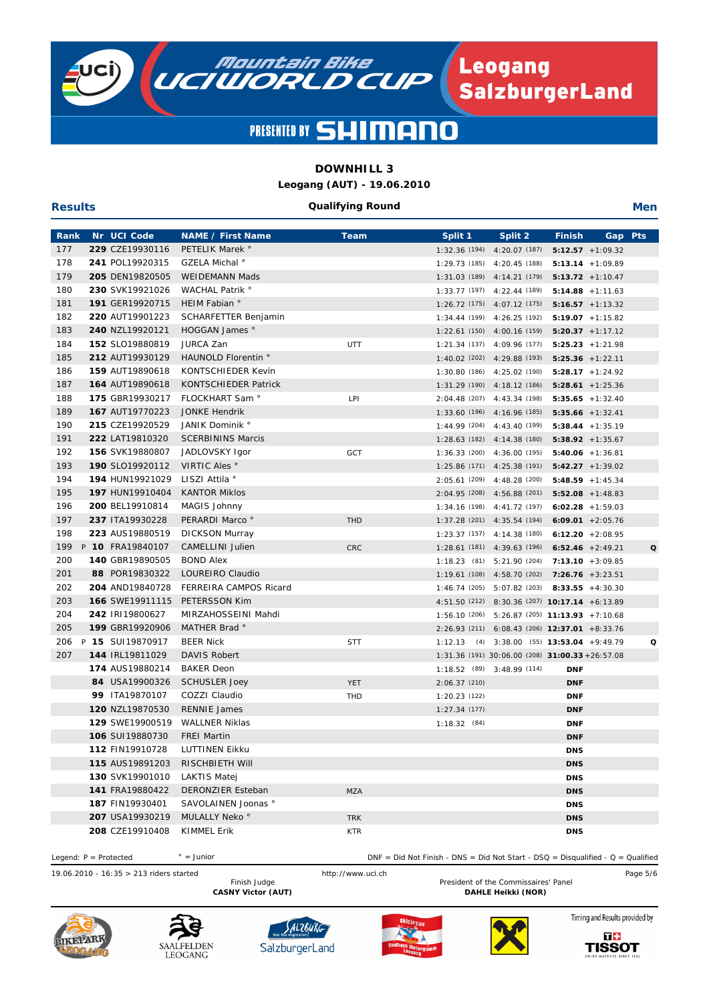

# **DOWNHILL 3**

**Leogang (AUT) - 19.06.2010**

#### **Qualifying Round**

**Men**

| Rank | Nr UCI Code                        | <b>NAME / First Name</b>                    | <b>Team</b>              | Split 1        | Split 2                                                   | <b>Finish</b>            | Gap                 | <b>Pts</b>  |
|------|------------------------------------|---------------------------------------------|--------------------------|----------------|-----------------------------------------------------------|--------------------------|---------------------|-------------|
| 177  | 229 CZE19930116                    | PETELIK Marek °                             |                          |                | $1:32.36(194)$ $4:20.07(187)$                             |                          | $5:12.57 + 1:09.32$ |             |
| 178  | 241 POL19920315                    | GZELA Michal <sup>®</sup>                   |                          |                | 1:29.73 (185) 4:20.45 (188)                               |                          | $5:13.14 + 1:09.89$ |             |
| 179  | 205 DEN19820505                    | WEIDEMANN Mads                              |                          |                | 1:31.03 (189) 4:14.21 (179)                               |                          | $5:13.72 + 1:10.47$ |             |
| 180  | 230 SVK19921026                    | WACHAL Patrik °                             |                          |                | 1:33.77 (197) 4:22.44 (189)                               |                          | $5:14.88 + 1:11.63$ |             |
| 181  | 191 GER19920715                    | HEIM Fabian °                               |                          |                | 1:26.72 (175) 4:07.12 (175)                               |                          | $5:16.57 + 1:13.32$ |             |
| 182  | 220 AUT19901223                    | <b>SCHARFETTER Benjamin</b>                 |                          |                | 1:34.44 (199) 4:26.25 (192)                               |                          | $5:19.07 + 1:15.82$ |             |
| 183  | 240 NZL19920121                    | HOGGAN James °                              |                          |                | 1:22.61 (150) 4:00.16 (159)                               |                          | $5:20.37 +1:17.12$  |             |
| 184  | 152 SLO19880819                    | JURCA Zan                                   | <b>UTT</b>               | 1:21.34 (137)  | 4:09.96 (177)                                             |                          | $5:25.23 + 1:21.98$ |             |
| 185  | 212 AUT19930129                    | HAUNOLD Florentin °                         |                          |                | 1:40.02 (202) 4:29.88 (193)                               |                          | $5:25.36 + 1:22.11$ |             |
| 186  | 159 AUT19890618                    | <b>KONTSCHIEDER Kevin</b>                   |                          |                | 1:30.80 (186) 4:25.02 (190)                               |                          | $5:28.17 + 1:24.92$ |             |
| 187  | 164 AUT19890618                    | KONTSCHIEDER Patrick                        |                          |                | 1:31.29 (190) 4:18.12 (186)                               |                          | $5:28.61 + 1:25.36$ |             |
| 188  | 175 GBR19930217                    | FLOCKHART Sam °                             | LPI                      |                | 2:04.48 (207) 4:43.34 (198)                               |                          | $5:35.65 + 1:32.40$ |             |
| 189  | 167 AUT19770223                    | <b>JONKE Hendrik</b>                        |                          |                | 1:33.60 (196) 4:16.96 (185)                               | $5:35.66 + 1:32.41$      |                     |             |
| 190  | 215 CZE19920529                    | JANIK Dominik °                             |                          |                | 1:44.99 (204) 4:43.40 (199)                               |                          | $5:38.44 + 1:35.19$ |             |
| 191  | 222 LAT19810320                    | <b>SCERBININS Marcis</b>                    |                          |                | $1:28.63(182)$ $4:14.38(180)$                             |                          | $5:38.92 +1:35.67$  |             |
| 192  | 156 SVK19880807                    | JADLOVSKY Igor                              | GCT                      |                | $1:36.33$ (200) $4:36.00$ (195)                           |                          | $5:40.06$ +1:36.81  |             |
| 193  | 190 SLO19920112                    | VIRTIC Ales °                               |                          |                | $1:25.86(171)$ $4:25.38(191)$                             |                          | $5:42.27 + 1:39.02$ |             |
| 194  | 194 HUN19921029                    | LISZI Attila °                              |                          |                | 2:05.61 (209) 4:48.28 (200)                               |                          | $5:48.59 + 1:45.34$ |             |
| 195  | 197 HUN19910404                    | <b>KANTOR Miklos</b>                        |                          |                | $2:04.95(208)$ $4:56.88(201)$                             |                          | $5:52.08 + 1:48.83$ |             |
| 196  | 200 BEL19910814                    | MAGIS Johnny                                |                          |                | 1:34.16 (198) 4:41.72 (197)                               |                          | $6:02.28 + 1:59.03$ |             |
| 197  | 237 ITA19930228                    | PERARDI Marco °                             | <b>THD</b>               |                | 1:37.28 (201) 4:35.54 (194)                               |                          | $6:09.01 + 2:05.76$ |             |
| 198  | 223 AUS19880519                    | <b>DICKSON Murray</b>                       |                          |                | $1:23.37(157)$ $4:14.38(180)$                             |                          | $6:12.20 + 2:08.95$ |             |
| 199  | P 10 FRA19840107                   | <b>CAMELLINI Julien</b>                     | <b>CRC</b>               |                | 1:28.61 (181) 4:39.63 (196)                               | $6:52.46$ +2:49.21       |                     | $\mathbf o$ |
| 200  | 140 GBR19890505                    | <b>BOND Alex</b>                            |                          |                | 1:18.23 (81) 5:21.90 (204)                                |                          | $7:13.10 + 3:09.85$ |             |
| 201  | 88 POR19830322                     | LOUREIRO Claudio                            |                          |                | 1:19.61 (108) 4:58.70 (202)                               | $7:26.76 + 3:23.51$      |                     |             |
| 202  | 204 AND19840728                    | FERREIRA CAMPOS Ricard                      |                          | 1:46.74(205)   | 5:07.82 (203)                                             |                          | $8:33.55 + 4:30.30$ |             |
| 203  | 166 SWE19911115                    | PETERSSON Kim                               |                          |                | 4:51.50 (212) 8:30.36 (207) 10:17.14 +6:13.89             |                          |                     |             |
| 204  | 242 IRI19800627                    | MIRZAHOSSEINI Mahdi                         |                          |                | 1:56.10 (206) 5:26.87 (205) 11:13.93 +7:10.68             |                          |                     |             |
| 205  | 199 GBR19920906                    | MATHER Brad °                               |                          |                | 2:26.93 (211) 6:08.43 (206) 12:37.01 +8:33.76             |                          |                     |             |
| 206  | P 15 SUI19870917                   | <b>BEER Nick</b>                            | <b>STT</b>               |                | $1:12.13$ (4) $3:38.00$ (55) <b>13:53.04</b> +9:49.79     |                          |                     | Q           |
| 207  | 144 IRL19811029                    | <b>DAVIS Robert</b>                         |                          |                | $1:31.36(191)$ $30:06.00(208)$ <b>31:00.33</b> + 26:57.08 |                          |                     |             |
|      | 174 AUS19880214                    | <b>BAKER Deon</b>                           |                          |                | 1:18.52 (89) 3:48.99 (114)                                | <b>DNF</b>               |                     |             |
|      | 84 USA19900326                     | <b>SCHUSLER Joey</b>                        | <b>YET</b>               | 2:06.37(210)   |                                                           | <b>DNF</b>               |                     |             |
|      | 99 ITA19870107                     | COZZI Claudio                               | THD                      | 1:20.23(122)   |                                                           | <b>DNF</b>               |                     |             |
|      | 120 NZL19870530                    | <b>RENNIE James</b>                         |                          | 1:27.34(177)   |                                                           | <b>DNF</b>               |                     |             |
|      | 129 SWE19900519                    | <b>WALLNER Niklas</b><br><b>FREI Martin</b> |                          | $1:18.32$ (84) |                                                           | <b>DNF</b>               |                     |             |
|      | 106 SUI19880730                    |                                             |                          |                |                                                           | <b>DNF</b>               |                     |             |
|      | 112 FIN19910728                    | LUTTINEN Eikku                              |                          |                |                                                           | <b>DNS</b>               |                     |             |
|      | 115 AUS19891203                    | RISCHBIETH WIII<br><b>LAKTIS Matei</b>      |                          |                |                                                           | <b>DNS</b>               |                     |             |
|      | 130 SVK19901010<br>141 FRA19880422 | <b>DERONZIER Esteban</b>                    |                          |                |                                                           | <b>DNS</b>               |                     |             |
|      |                                    | SAVOLAINEN Joonas °                         | <b>MZA</b>               |                |                                                           | <b>DNS</b>               |                     |             |
|      | 187 FIN19930401<br>207 USA19930219 | MULALLY Neko <sup>°</sup>                   |                          |                |                                                           | <b>DNS</b>               |                     |             |
|      | 208 CZE19910408                    | KIMMEL Erik                                 | <b>TRK</b><br><b>KTR</b> |                |                                                           | <b>DNS</b><br><b>DNS</b> |                     |             |
|      |                                    |                                             |                          |                |                                                           |                          |                     |             |

 $\degree$  = Junior Legend: P = Protected <br>DNF = Did Not Finish - DNS = Did Not Start - DSQ = Disqualified - Q = Qualified

19.06.2010 - 16:35 > 213 riders started http://www.uci.ch Page 5/6 President of the Commissaires' Panel CASNY Victor (AUT) **DAHLE Heikki** (NOR)



**Results**









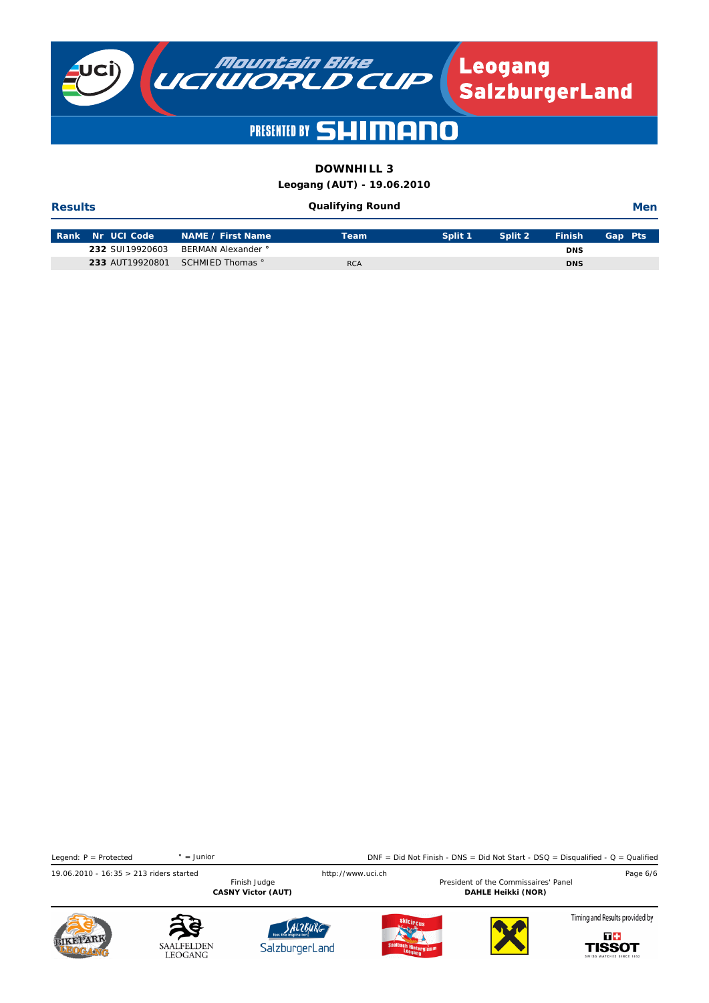

# **DOWNHILL 3**

**Leogang (AUT) - 19.06.2010**

#### **Qualifying Round**

**Men**

| <b>Rank Nr UCI Code</b> | ∣ NAME / First Name <sup>1</sup> | Team       | Split 1 | Split 2 | <b>Finish</b> | Gap Pts |
|-------------------------|----------------------------------|------------|---------|---------|---------------|---------|
| 232 SUI19920603         | BERMAN Alexander °               |            |         |         | <b>DNS</b>    |         |
|                         | 233 AUT19920801 SCHMIED Thomas ° | <b>RCA</b> |         |         | <b>DNS</b>    |         |

19.06.2010 - 16:35 > 213 riders started Finish Judge http://www.uci.ch Pesident of the Commissaires' Panel Page 6/6  $\degree$  = Junior President of the Commissaires' Panel CASNY Victor (AUT) **DAHLE Heikki** (NOR) Legend: P = Protected <br>
DNF = Did Not Finish - DNS = Did Not Start - DSQ = Disqualified - Q = Qualified



**Results**









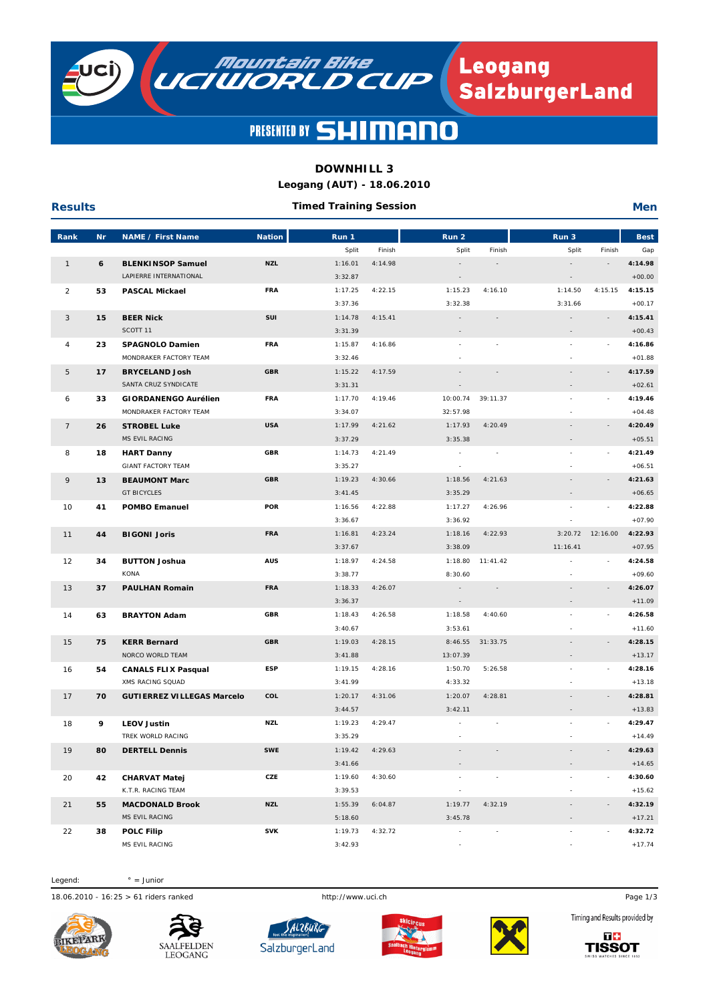

**Leogang<br>SalzburgerLand** 

### **PRESENTED BY**  $\blacksquare$

**MOUNTAIN BIKE** 

# **DOWNHILL 3**

**Leogang (AUT) - 18.06.2010**

| <b>Results</b> |           |                                   |               | <b>Timed Training Session</b> |         |                          |                          |                          |                          | <b>Men</b>  |
|----------------|-----------|-----------------------------------|---------------|-------------------------------|---------|--------------------------|--------------------------|--------------------------|--------------------------|-------------|
| Rank           | <b>Nr</b> | <b>NAME / First Name</b>          | <b>Nation</b> | Run 1                         |         | Run 2                    |                          | Run 3                    |                          | <b>Best</b> |
|                |           |                                   |               | Split                         | Finish  | Split                    | Finish                   | Split                    | Finish                   | Gap         |
| $\mathbf{1}$   | 6         | <b>BLENKINSOP Samuel</b>          | <b>NZL</b>    | 1:16.01                       | 4:14.98 |                          | $\overline{\phantom{a}}$ |                          |                          | 4:14.98     |
|                |           | LAPIERRE INTERNATIONAL            |               | 3:32.87                       |         | $\sim$                   |                          | $\bar{\phantom{a}}$      |                          | $+00.00$    |
| $\overline{2}$ | 53        | <b>PASCAL Mickael</b>             | <b>FRA</b>    | 1:17.25                       | 4:22.15 | 1:15.23                  | 4:16.10                  | 1:14.50                  | 4:15.15                  | 4:15.15     |
|                |           |                                   |               | 3:37.36                       |         | 3:32.38                  |                          | 3:31.66                  |                          | $+00.17$    |
| 3              | 15        | <b>BEER Nick</b>                  | SUI           | 1:14.78                       | 4:15.41 | $\sim$                   | $\overline{a}$           |                          | $\sim$                   | 4:15.41     |
|                |           | SCOTT 11                          |               | 3:31.39                       |         |                          |                          |                          |                          | $+00.43$    |
| 4              | 23        | SPAGNOLO Damien                   | <b>FRA</b>    | 1:15.87                       | 4:16.86 |                          |                          | $\bar{a}$                |                          | 4:16.86     |
|                |           | MONDRAKER FACTORY TEAM            |               | 3:32.46                       |         |                          |                          |                          |                          | $+01.88$    |
| 5              | 17        | <b>BRYCELAND Josh</b>             | <b>GBR</b>    | 1:15.22                       | 4:17.59 | $\sim$                   | $\bar{a}$                | $\blacksquare$           | $\sim$                   | 4:17.59     |
|                |           | SANTA CRUZ SYNDICATE              |               | 3:31.31                       |         |                          |                          |                          |                          | $+02.61$    |
| 6              | 33        | <b>GIORDANENGO Aurélien</b>       | <b>FRA</b>    | 1:17.70                       | 4:19.46 | 10:00.74                 | 39:11.37                 | $\bar{a}$                |                          | 4:19.46     |
|                |           | MONDRAKER FACTORY TEAM            |               | 3:34.07                       |         | 32:57.98                 |                          | $\overline{\phantom{a}}$ |                          | $+04.48$    |
| $\overline{7}$ | 26        | <b>STROBEL Luke</b>               | <b>USA</b>    | 1:17.99                       | 4:21.62 | 1:17.93                  | 4:20.49                  |                          |                          | 4:20.49     |
|                |           | MS EVIL RACING                    |               | 3:37.29                       |         | 3:35.38                  |                          |                          |                          | $+05.51$    |
| 8              | 18        | <b>HART Danny</b>                 | <b>GBR</b>    | 1:14.73                       | 4:21.49 | $\sim$                   | ÷,                       |                          |                          | 4:21.49     |
|                |           | <b>GIANT FACTORY TEAM</b>         |               | 3:35.27                       |         | $\sim$                   |                          |                          |                          | $+06.51$    |
| 9              | 13        | <b>BEAUMONT Marc</b>              | <b>GBR</b>    | 1:19.23                       | 4:30.66 | 1:18.56                  | 4:21.63                  | $\bar{a}$                |                          | 4:21.63     |
|                |           | <b>GT BICYCLES</b>                |               | 3:41.45                       |         | 3:35.29                  |                          | $\overline{\phantom{a}}$ |                          | $+06.65$    |
| 10             | 41        | <b>POMBO Emanuel</b>              | <b>POR</b>    | 1:16.56                       | 4:22.88 | 1:17.27                  | 4:26.96                  | ÷.                       |                          | 4:22.88     |
|                |           |                                   |               | 3:36.67                       |         | 3:36.92                  |                          |                          |                          | $+07.90$    |
| 11             | 44        | <b>BIGONI Joris</b>               | <b>FRA</b>    | 1:16.81                       | 4:23.24 | 1:18.16                  | 4:22.93                  | 3:20.72                  | 12:16.00                 | 4:22.93     |
|                |           |                                   |               | 3:37.67                       |         | 3:38.09                  |                          | 11:16.41                 |                          | $+07.95$    |
| 12             | 34        | <b>BUTTON Joshua</b>              | <b>AUS</b>    | 1:18.97                       | 4:24.58 | 1:18.80                  | 11:41.42                 | ä,                       |                          | 4:24.58     |
|                |           | KONA                              |               | 3:38.77                       |         | 8:30.60                  |                          |                          |                          | $+09.60$    |
| 13             | 37        | <b>PAULHAN Romain</b>             | <b>FRA</b>    | 1:18.33                       | 4:26.07 | $\sim$                   | $\sim$                   | $\sim$                   | $\overline{\phantom{a}}$ | 4:26.07     |
|                |           |                                   |               | 3:36.37                       |         | $\sim$                   |                          | $\overline{\phantom{a}}$ |                          | $+11.09$    |
| 14             | 63        | <b>BRAYTON Adam</b>               | <b>GBR</b>    | 1:18.43                       | 4:26.58 | 1:18.58                  | 4:40.60                  |                          |                          | 4:26.58     |
|                |           |                                   |               | 3:40.67                       |         | 3:53.61                  |                          |                          |                          | $+11.60$    |
| 15             | 75        | <b>KERR Bernard</b>               | <b>GBR</b>    | 1:19.03                       | 4:28.15 | 8:46.55                  | 31:33.75                 |                          |                          | 4:28.15     |
|                |           | NORCO WORLD TEAM                  |               | 3:41.88                       |         | 13:07.39                 |                          | $\overline{\phantom{a}}$ |                          | $+13.17$    |
| 16             | 54        | <b>CANALS FLIX Pasqual</b>        | ESP           | 1:19.15                       | 4:28.16 | 1:50.70                  | 5:26.58                  | $\bar{a}$                |                          | 4:28.16     |
|                |           | XMS RACING SQUAD                  |               | 3:41.99                       |         | 4:33.32                  |                          |                          |                          | $+13.18$    |
| 17             | 70        | <b>GUTIERREZ VILLEGAS Marcelo</b> | COL           | 1:20.17                       | 4:31.06 | 1:20.07                  | 4:28.81                  |                          |                          | 4:28.81     |
|                |           |                                   |               | 3:44.57                       |         | 3:42.11                  |                          |                          |                          | $+13.83$    |
| 18             | 9         | <b>LEOV Justin</b>                | <b>NZL</b>    | 1:19.23                       | 4:29.47 | $\sim$                   |                          |                          |                          | 4:29.47     |
|                |           | TREK WORLD RACING                 |               | 3:35.29                       |         |                          |                          |                          |                          | $+14.49$    |
| 19             | 80        | <b>DERTELL Dennis</b>             | <b>SWE</b>    | 1:19.42                       | 4:29.63 |                          |                          |                          |                          | 4:29.63     |
|                |           |                                   |               | 3:41.66                       |         |                          |                          |                          |                          | $+14.65$    |
| 20             | 42        | <b>CHARVAT Matej</b>              | CZE           | 1:19.60                       | 4:30.60 |                          |                          | $\bar{a}$                |                          | 4:30.60     |
|                |           | K.T.R. RACING TEAM                |               | 3:39.53                       |         |                          |                          | $\overline{\phantom{a}}$ |                          | $+15.62$    |
| 21             | 55        | <b>MACDONALD Brook</b>            | <b>NZL</b>    | 1:55.39                       | 6:04.87 | 1:19.77                  | 4:32.19                  |                          |                          | 4:32.19     |
|                |           | MS EVIL RACING                    |               | 5:18.60                       |         | 3:45.78                  |                          |                          |                          | $+17.21$    |
| 22             | 38        | <b>POLC Filip</b>                 | SVK           | 1:19.73                       | 4:32.72 | $\overline{\phantom{a}}$ |                          | $\blacksquare$           |                          | 4:32.72     |
|                |           | MS EVIL RACING                    |               | 3:42.93                       |         |                          |                          |                          |                          | $+17.74$    |

Legend:  $° =$  Junior

18.06.2010 - 16:25 > 61 riders ranked http://www.uci.ch Page 1/3









 $MS$  EVIL RACING  $3:42.93$   $3:42.93$ 



-

Timing and Results provided by

-

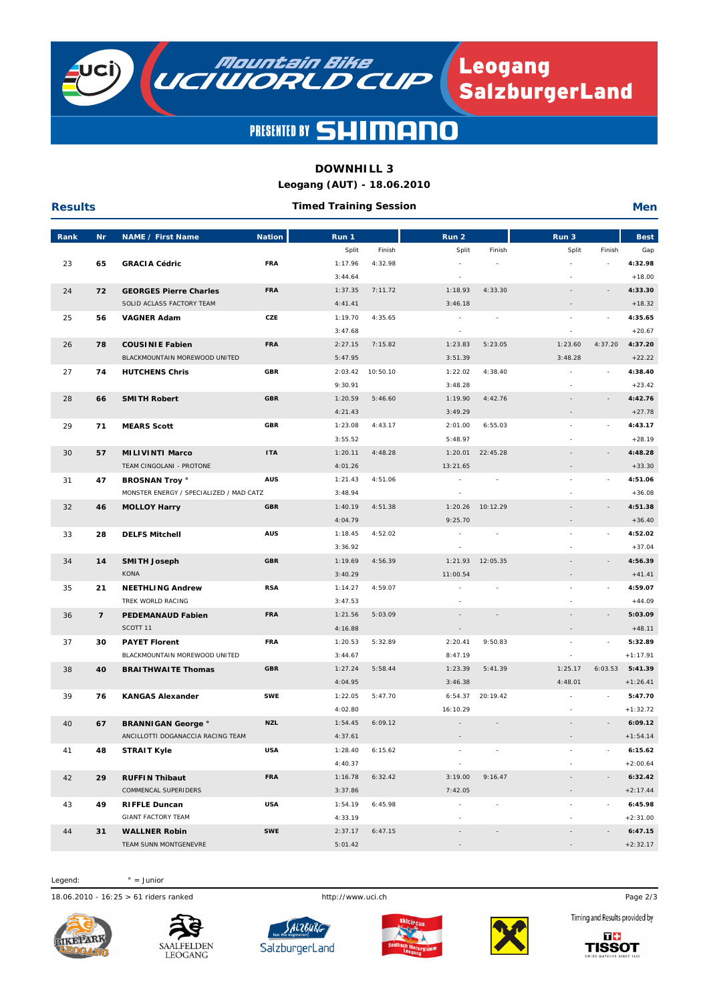

**NOUNTAIN DIKE Leogang<br>SalzburgerLand** 

#### **PRESENTED BY SL**  $\blacksquare$  $\blacksquare$

## **DOWNHILL 3**

**Leogang (AUT) - 18.06.2010**

| <b>Results</b> |                |                                         |               | <b>Timed Training Session</b> |          |                          |                          |                          |                          | <b>Men</b>  |
|----------------|----------------|-----------------------------------------|---------------|-------------------------------|----------|--------------------------|--------------------------|--------------------------|--------------------------|-------------|
| Rank           | <b>Nr</b>      | <b>NAME / First Name</b>                | <b>Nation</b> | Run 1                         |          | Run 2                    |                          | Run 3                    |                          | <b>Best</b> |
|                |                |                                         |               | Split                         | Finish   | Split                    | Finish                   | Split                    | Finish                   | Gap         |
| 23             | 65             | <b>GRACIA Cédric</b>                    | <b>FRA</b>    | 1:17.96                       | 4:32.98  | $\sim$                   | $\sim$                   | ä,                       |                          | 4:32.98     |
|                |                |                                         |               | 3:44.64                       |          |                          |                          |                          |                          | $+18.00$    |
| 24             | 72             | <b>GEORGES Pierre Charles</b>           | <b>FRA</b>    | 1:37.35                       | 7:11.72  | 1:18.93                  | 4:33.30                  | $\overline{\phantom{a}}$ |                          | 4:33.30     |
|                |                | SOLID ACLASS FACTORY TEAM               |               | 4:41.41                       |          | 3:46.18                  |                          | $\overline{\phantom{a}}$ |                          | $+18.32$    |
| 25             | 56             | <b>VAGNER Adam</b>                      | CZE           | 1:19.70                       | 4:35.65  | $\sim$                   | ÷,                       | ä,                       |                          | 4:35.65     |
|                |                |                                         |               | 3:47.68                       |          | $\overline{\phantom{a}}$ |                          | $\overline{\phantom{a}}$ |                          | $+20.67$    |
| 26             | 78             | <b>COUSINIE Fabien</b>                  | <b>FRA</b>    | 2:27.15                       | 7:15.82  | 1:23.83                  | 5:23.05                  | 1:23.60                  | 4:37.20                  | 4:37.20     |
|                |                | BLACKMOUNTAIN MOREWOOD UNITED           |               | 5:47.95                       |          | 3:51.39                  |                          | 3:48.28                  |                          | $+22.22$    |
| 27             | 74             | <b>HUTCHENS Chris</b>                   | <b>GBR</b>    | 2:03.42                       | 10:50.10 | 1:22.02                  | 4:38.40                  |                          |                          | 4:38.40     |
|                |                |                                         |               | 9:30.91                       |          | 3:48.28                  |                          | $\sim$                   |                          | $+23.42$    |
| 28             | 66             | <b>SMITH Robert</b>                     | <b>GBR</b>    | 1:20.59                       | 5:46.60  | 1:19.90                  | 4:42.76                  | $\overline{\phantom{a}}$ |                          | 4:42.76     |
|                |                |                                         |               | 4:21.43                       |          | 3:49.29                  |                          | $\overline{\phantom{a}}$ |                          | $+27.78$    |
| 29             | 71             | <b>MEARS Scott</b>                      | <b>GBR</b>    | 1:23.08                       | 4:43.17  | 2:01.00                  | 6:55.03                  | L.                       |                          | 4:43.17     |
|                |                |                                         |               | 3:55.52                       |          | 5:48.97                  |                          |                          |                          | $+28.19$    |
| 30             | 57             | <b>MILIVINTI Marco</b>                  | <b>ITA</b>    | 1:20.11                       | 4:48.28  | 1:20.01                  | 22:45.28                 | $\bar{a}$                |                          | 4:48.28     |
|                |                | TEAM CINGOLANI - PROTONE                |               | 4:01.26                       |          | 13:21.65                 |                          | $\overline{\phantom{a}}$ |                          | $+33.30$    |
| 31             | 47             | <b>BROSNAN Troy °</b>                   | <b>AUS</b>    | 1:21.43                       | 4:51.06  |                          |                          | $\sim$                   |                          | 4:51.06     |
|                |                | MONSTER ENERGY / SPECIALIZED / MAD CATZ |               | 3:48.94                       |          |                          |                          |                          |                          | $+36.08$    |
| 32             | 46             | <b>MOLLOY Harry</b>                     | <b>GBR</b>    | 1:40.19                       | 4:51.38  | 1:20.26                  | 10:12.29                 |                          | $\overline{\phantom{a}}$ | 4:51.38     |
|                |                |                                         |               | 4:04.79                       |          | 9:25.70                  |                          | $\overline{\phantom{a}}$ |                          | $+36.40$    |
| 33             | 28             | <b>DELFS Mitchell</b>                   | <b>AUS</b>    | 1:18.45                       | 4:52.02  |                          |                          | ÷,                       |                          | 4:52.02     |
|                |                |                                         |               | 3:36.92                       |          |                          |                          |                          |                          | $+37.04$    |
| 34             | 14             | <b>SMITH Joseph</b>                     | <b>GBR</b>    | 1:19.69                       | 4:56.39  | 1:21.93                  | 12:05.35                 |                          |                          | 4:56.39     |
|                |                | <b>KONA</b>                             |               | 3:40.29                       |          | 11:00.54                 |                          | $\overline{\phantom{a}}$ |                          | $+41.41$    |
| 35             | 21             | <b>NEETHLING Andrew</b>                 | <b>RSA</b>    | 1:14.27                       | 4:59.07  |                          |                          | $\bar{a}$                |                          | 4:59.07     |
|                |                | TREK WORLD RACING                       |               | 3:47.53                       |          |                          |                          |                          |                          | $+44.09$    |
| 36             | $\overline{7}$ | <b>PEDEMANAUD Fabien</b>                | <b>FRA</b>    | 1:21.56                       | 5:03.09  |                          |                          |                          |                          | 5:03.09     |
|                |                | SCOTT 11                                |               | 4:16.88                       |          |                          |                          |                          |                          | $+48.11$    |
| 37             | 30             | <b>PAYET Florent</b>                    | <b>FRA</b>    | 1:20.53                       | 5:32.89  | 2:20.41                  | 9:50.83                  | ÷,                       |                          | 5:32.89     |
|                |                | BLACKMOUNTAIN MOREWOOD UNITED           |               | 3:44.67                       |          | 8:47.19                  |                          |                          |                          | $+1:17.91$  |
| 38             | 40             | <b>BRAITHWAITE Thomas</b>               | <b>GBR</b>    | 1:27.24                       | 5:58.44  | 1:23.39                  | 5:41.39                  | 1:25.17                  | 6:03.53                  | 5:41.39     |
|                |                |                                         |               | 4:04.95                       |          | 3:46.38                  |                          | 4:48.01                  |                          | $+1:26.41$  |
| 39             | 76             | <b>KANGAS Alexander</b>                 | <b>SWE</b>    | 1:22.05                       | 5:47.70  | 6:54.37                  | 20:19.42                 |                          |                          | 5:47.70     |
|                |                |                                         |               | 4:02.80                       |          | 16:10.29                 |                          |                          |                          | $+1:32.72$  |
| 40             | 67             | <b>BRANNIGAN George °</b>               | <b>NZL</b>    | 1:54.45                       | 6:09.12  |                          | $\bar{ }$                |                          |                          | 6:09.12     |
|                |                | ANCILLOTTI DOGANACCIA RACING TEAM       |               | 4:37.61                       |          |                          |                          |                          |                          | $+1:54.14$  |
| 41             | 48             | <b>STRAIT Kyle</b>                      | USA           | 1:28.40                       | 6:15.62  |                          |                          |                          |                          | 6:15.62     |
|                |                |                                         |               | 4:40.37                       |          |                          |                          |                          |                          | $+2:00.64$  |
| 42             | 29             | <b>RUFFIN Thibaut</b>                   | FRA           | 1:16.78                       | 6:32.42  | 3:19.00                  | 9:16.47                  |                          |                          | 6:32.42     |
|                |                | COMMENCAL SUPERIDERS                    |               | 3:37.86                       |          | 7:42.05                  |                          |                          |                          | $+2:17.44$  |
| 43             | 49             | <b>RIFFLE Duncan</b>                    | USA           | 1:54.19                       | 6:45.98  |                          |                          | $\sim$                   |                          | 6:45.98     |
|                |                | <b>GIANT FACTORY TEAM</b>               |               | 4:33.19                       |          |                          |                          |                          |                          | $+2:31.00$  |
| 44             | 31             | <b>WALLNER Robin</b>                    | <b>SWE</b>    | 2:37.17                       | 6:47.15  | $\sim$                   | $\overline{\phantom{a}}$ | $\overline{\phantom{a}}$ |                          | 6:47.15     |
|                |                | TEAM SUNN MONTGENEVRE                   |               | 5:01.42                       |          |                          |                          |                          |                          | $+2:32.17$  |

Legend:  $° =$  Junior

18.06.2010 - 16:25 > 61 riders ranked http://www.uci.ch Page 2/3